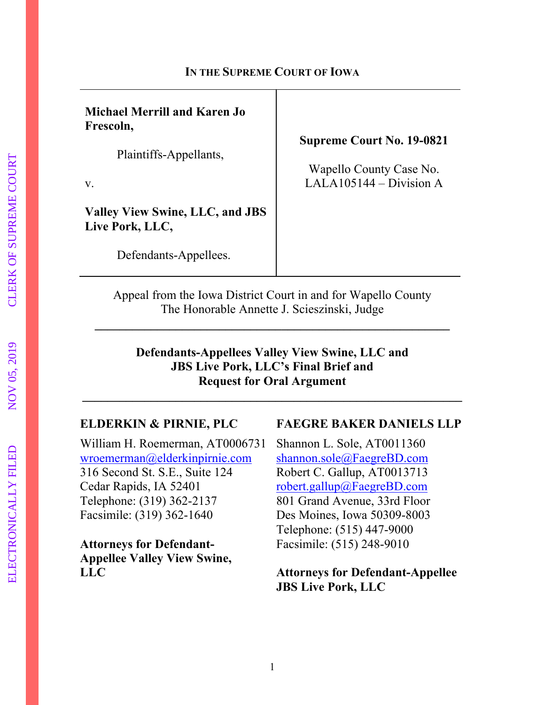### **IN THE SUPREME COURT OF IOWA**

**Michael Merrill and Karen Jo Frescoln,** 

Plaintiffs-Appellants,

v.

**Valley View Swine, LLC, and JBS Live Pork, LLC,** 

Defendants-Appellees.

**Supreme Court No. 19-0821** 

Wapello County Case No. LALA105144 – Division A

Appeal from the Iowa District Court in and for Wapello County The Honorable Annette J. Scieszinski, Judge

**\_\_\_\_\_\_\_\_\_\_\_\_\_\_\_\_\_\_\_\_\_\_\_\_\_\_\_\_\_\_\_\_\_\_\_\_\_\_\_\_\_\_\_\_\_\_\_\_\_\_\_\_\_\_\_\_\_** 

## **Defendants-Appellees Valley View Swine, LLC and JBS Live Pork, LLC's Final Brief and Request for Oral Argument**

**\_\_\_\_\_\_\_\_\_\_\_\_\_\_\_\_\_\_\_\_\_\_\_\_\_\_\_\_\_\_\_\_\_\_\_\_\_\_\_\_\_\_\_\_\_\_\_\_\_\_\_\_\_\_\_\_\_\_\_\_\_** 

William H. Roemerman, AT0006731 Shannon L. Sole, AT0011360 wroemerman@elderkinpirnie.com shannon.sole@FaegreBD.com 316 Second St. S.E., Suite 124 Robert C. Gallup, AT0013713 Cedar Rapids, IA 52401 robert.gallup@FaegreBD.com Telephone: (319) 362-2137 801 Grand Avenue, 33rd Floor Facsimile: (319) 362-1640 Des Moines, Iowa 50309-8003

**Attorneys for Defendant-** Facsimile: (515) 248-9010 **Appellee Valley View Swine,**

## **ELDERKIN & PIRNIE, PLC FAEGRE BAKER DANIELS LLP**

Telephone: (515) 447-9000

## **LLC Attorneys for Defendant-Appellee JBS Live Pork, LLC**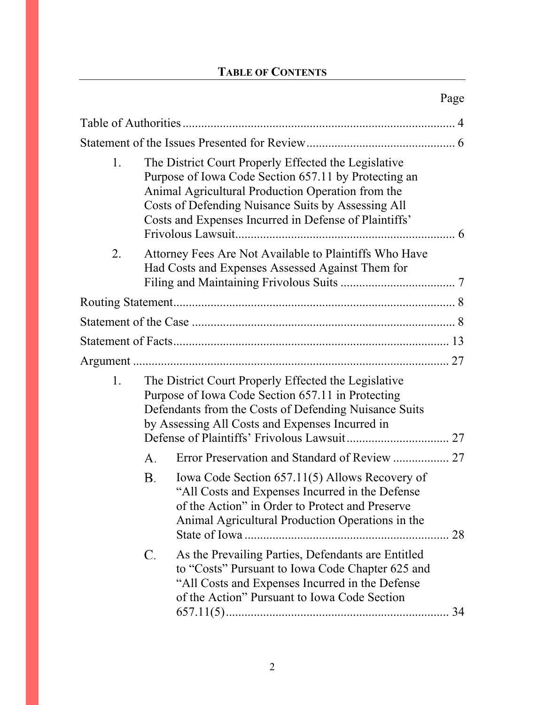## **TABLE OF CONTENTS**

| 1. |           | The District Court Properly Effected the Legislative<br>Purpose of Iowa Code Section 657.11 by Protecting an<br>Animal Agricultural Production Operation from the<br>Costs of Defending Nuisance Suits by Assessing All<br>Costs and Expenses Incurred in Defense of Plaintiffs' |    |  |
|----|-----------|----------------------------------------------------------------------------------------------------------------------------------------------------------------------------------------------------------------------------------------------------------------------------------|----|--|
| 2. |           | Attorney Fees Are Not Available to Plaintiffs Who Have<br>Had Costs and Expenses Assessed Against Them for                                                                                                                                                                       |    |  |
|    |           |                                                                                                                                                                                                                                                                                  |    |  |
|    |           |                                                                                                                                                                                                                                                                                  |    |  |
|    |           |                                                                                                                                                                                                                                                                                  |    |  |
|    |           |                                                                                                                                                                                                                                                                                  |    |  |
| 1. |           | The District Court Properly Effected the Legislative<br>Purpose of Iowa Code Section 657.11 in Protecting<br>Defendants from the Costs of Defending Nuisance Suits<br>by Assessing All Costs and Expenses Incurred in                                                            |    |  |
|    | А.        | Error Preservation and Standard of Review  27                                                                                                                                                                                                                                    |    |  |
|    | <b>B.</b> | Iowa Code Section 657.11(5) Allows Recovery of<br>"All Costs and Expenses Incurred in the Defense<br>of the Action" in Order to Protect and Preserve<br>Animal Agricultural Production Operations in the                                                                         | 28 |  |
|    | C.        | As the Prevailing Parties, Defendants are Entitled<br>to "Costs" Pursuant to Iowa Code Chapter 625 and<br>"All Costs and Expenses Incurred in the Defense<br>of the Action" Pursuant to Iowa Code Section                                                                        |    |  |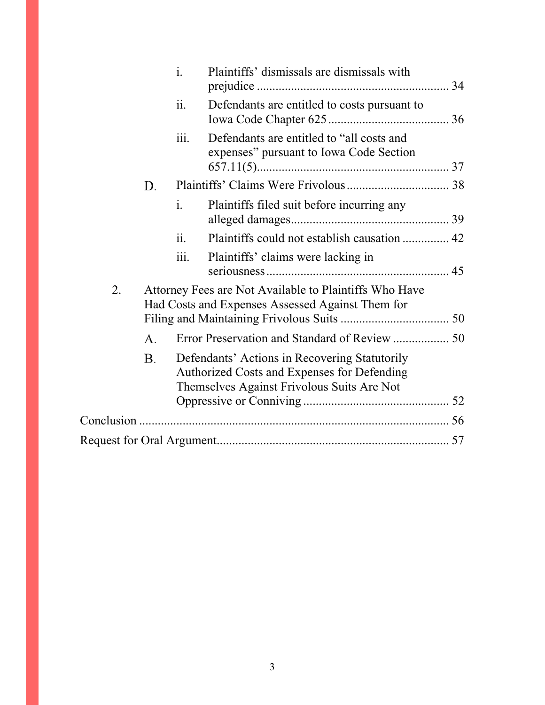|    |                                                                                                            | $\mathbf{i}$ .           | Plaintiffs' dismissals are dismissals with                                                                                                 |  |  |
|----|------------------------------------------------------------------------------------------------------------|--------------------------|--------------------------------------------------------------------------------------------------------------------------------------------|--|--|
|    |                                                                                                            | ii.                      | Defendants are entitled to costs pursuant to                                                                                               |  |  |
|    |                                                                                                            | $\dddot{\mathbf{111}}$ . | Defendants are entitled to "all costs and<br>expenses" pursuant to Iowa Code Section                                                       |  |  |
|    | D.                                                                                                         |                          |                                                                                                                                            |  |  |
|    |                                                                                                            | $\mathbf{i}$ .           | Plaintiffs filed suit before incurring any                                                                                                 |  |  |
|    |                                                                                                            | 11.                      | Plaintiffs could not establish causation  42                                                                                               |  |  |
|    |                                                                                                            | 111.                     | Plaintiffs' claims were lacking in                                                                                                         |  |  |
| 2. | Attorney Fees are Not Available to Plaintiffs Who Have<br>Had Costs and Expenses Assessed Against Them for |                          |                                                                                                                                            |  |  |
|    | А.                                                                                                         |                          |                                                                                                                                            |  |  |
|    | В.                                                                                                         |                          | Defendants' Actions in Recovering Statutorily<br>Authorized Costs and Expenses for Defending<br>Themselves Against Frivolous Suits Are Not |  |  |
|    |                                                                                                            |                          |                                                                                                                                            |  |  |
|    |                                                                                                            |                          |                                                                                                                                            |  |  |
|    |                                                                                                            |                          |                                                                                                                                            |  |  |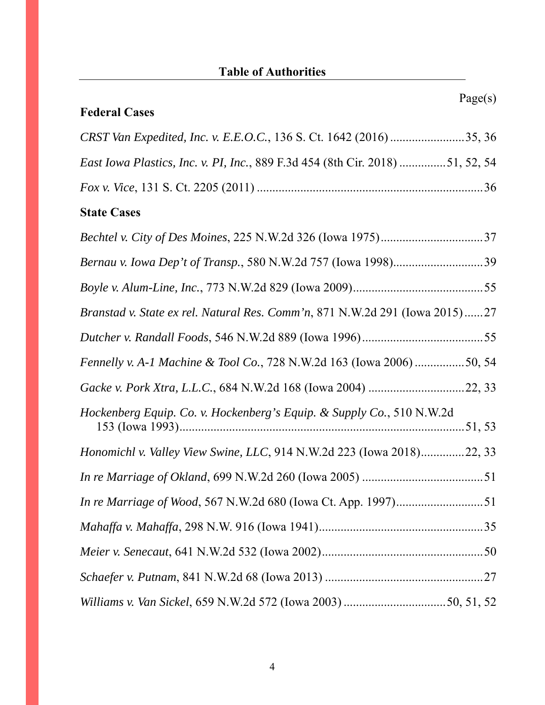# **Table of Authorities**

Page(s)

| <b>Federal Cases</b>                                                          |
|-------------------------------------------------------------------------------|
| CRST Van Expedited, Inc. v. E.E.O.C., 136 S. Ct. 1642 (2016) 35, 36           |
| East Iowa Plastics, Inc. v. PI, Inc., 889 F.3d 454 (8th Cir. 2018) 51, 52, 54 |
|                                                                               |
| <b>State Cases</b>                                                            |
|                                                                               |
| Bernau v. Iowa Dep't of Transp., 580 N.W.2d 757 (Iowa 1998)39                 |
|                                                                               |
| Branstad v. State ex rel. Natural Res. Comm'n, 871 N.W.2d 291 (Iowa 2015)27   |
|                                                                               |
| Fennelly v. A-1 Machine & Tool Co., 728 N.W.2d 163 (Iowa 2006) 50, 54         |
|                                                                               |
| Hockenberg Equip. Co. v. Hockenberg's Equip. & Supply Co., 510 N.W.2d         |
| Honomichl v. Valley View Swine, LLC, 914 N.W.2d 223 (Iowa 2018)22, 33         |
|                                                                               |
| <i>In re Marriage of Wood, 567 N.W.2d 680 (Iowa Ct. App. 1997)51</i>          |
|                                                                               |
|                                                                               |
|                                                                               |

# *Williams v. Van Sickel*, 659 N.W.2d 572 (Iowa 2003) ................................. 50, 51, 52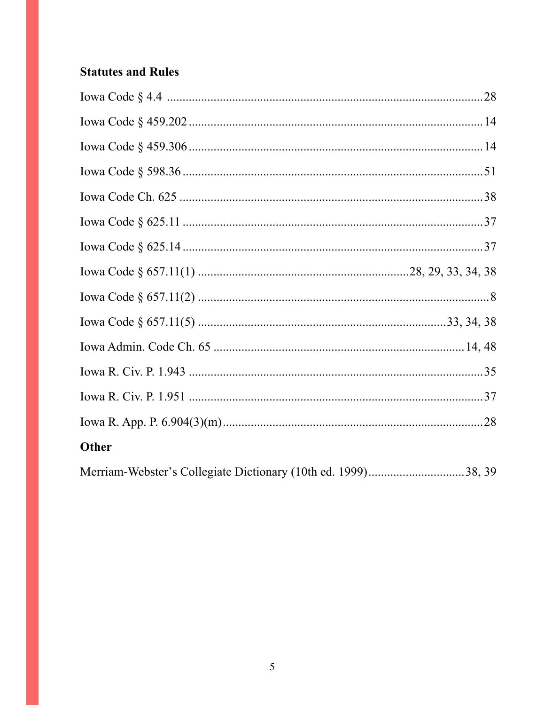## **Statutes and Rules**

| Other                                                         |  |
|---------------------------------------------------------------|--|
| Merriam-Webster's Collegiate Dictionary (10th ed. 1999)38, 39 |  |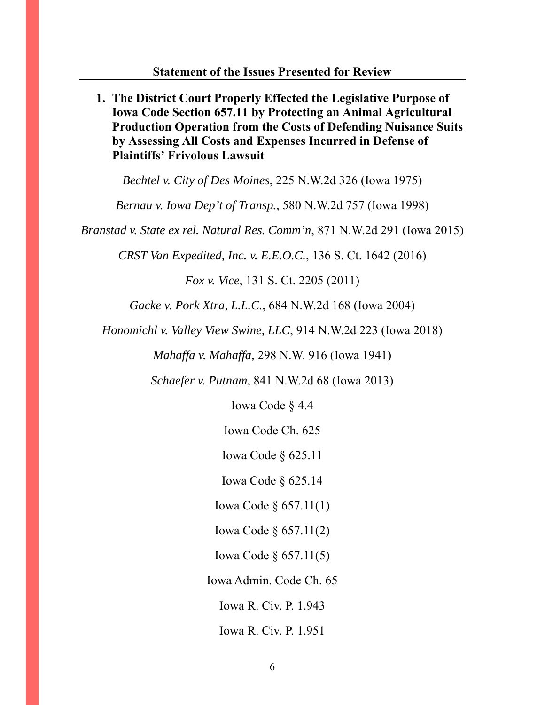**1. The District Court Properly Effected the Legislative Purpose of Iowa Code Section 657.11 by Protecting an Animal Agricultural Production Operation from the Costs of Defending Nuisance Suits by Assessing All Costs and Expenses Incurred in Defense of Plaintiffs' Frivolous Lawsuit**  *Bechtel v. City of Des Moines*, 225 N.W.2d 326 (Iowa 1975) *Bernau v. Iowa Dep't of Transp.*, 580 N.W.2d 757 (Iowa 1998) *Branstad v. State ex rel. Natural Res. Comm'n*, 871 N.W.2d 291 (Iowa 2015) *CRST Van Expedited, Inc. v. E.E.O.C.*, 136 S. Ct. 1642 (2016) *Fox v. Vice*, 131 S. Ct. 2205 (2011) *Gacke v. Pork Xtra, L.L.C.*, 684 N.W.2d 168 (Iowa 2004) *Honomichl v. Valley View Swine, LLC*, 914 N.W.2d 223 (Iowa 2018) *Mahaffa v. Mahaffa*, 298 N.W. 916 (Iowa 1941) *Schaefer v. Putnam*, 841 N.W.2d 68 (Iowa 2013) Iowa Code § 4.4 Iowa Code Ch. 625 Iowa Code § 625.11 Iowa Code § 625.14 Iowa Code § 657.11(1) Iowa Code § 657.11(2) Iowa Code § 657.11(5) Iowa Admin. Code Ch. 65 Iowa R. Civ. P. 1.943 Iowa R. Civ. P. 1.951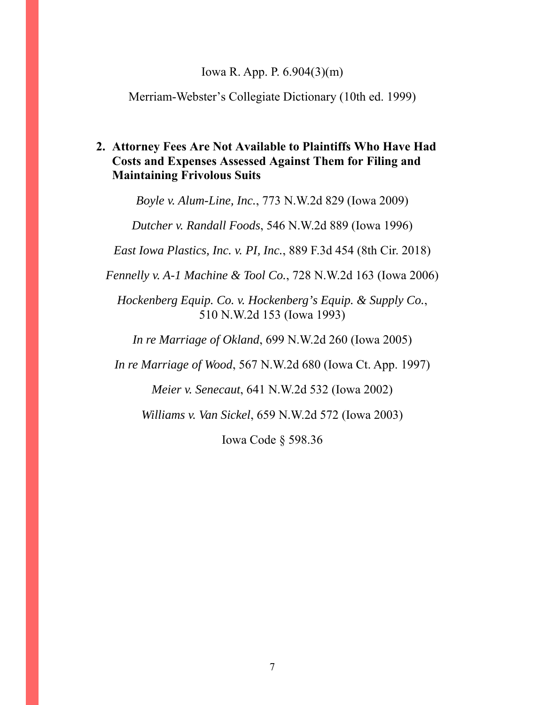#### Iowa R. App. P. 6.904(3)(m)

Merriam-Webster's Collegiate Dictionary (10th ed. 1999)

## **2. Attorney Fees Are Not Available to Plaintiffs Who Have Had Costs and Expenses Assessed Against Them for Filing and Maintaining Frivolous Suits**

*Boyle v. Alum-Line, Inc.*, 773 N.W.2d 829 (Iowa 2009)

*Dutcher v. Randall Foods*, 546 N.W.2d 889 (Iowa 1996)

*East Iowa Plastics, Inc. v. PI, Inc.*, 889 F.3d 454 (8th Cir. 2018)

*Fennelly v. A-1 Machine & Tool Co.*, 728 N.W.2d 163 (Iowa 2006)

*Hockenberg Equip. Co. v. Hockenberg's Equip. & Supply Co.*, 510 N.W.2d 153 (Iowa 1993)

*In re Marriage of Okland*, 699 N.W.2d 260 (Iowa 2005)

*In re Marriage of Wood*, 567 N.W.2d 680 (Iowa Ct. App. 1997)

*Meier v. Senecaut*, 641 N.W.2d 532 (Iowa 2002)

*Williams v. Van Sickel*, 659 N.W.2d 572 (Iowa 2003)

Iowa Code § 598.36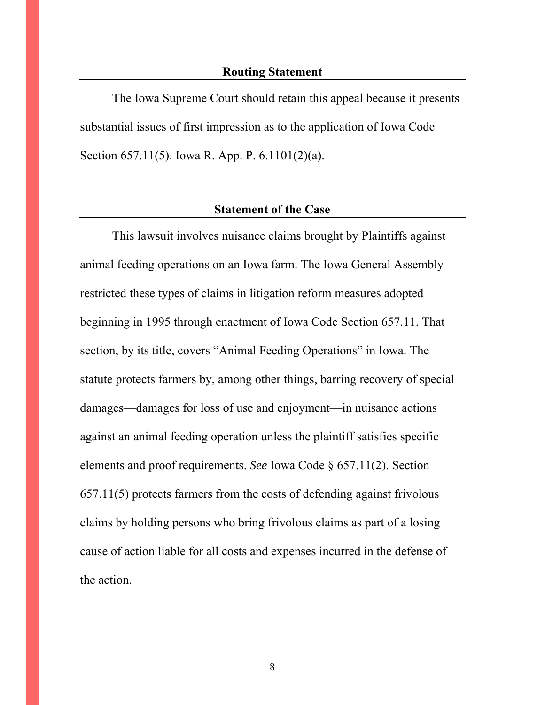The Iowa Supreme Court should retain this appeal because it presents substantial issues of first impression as to the application of Iowa Code Section 657.11(5). Iowa R. App. P. 6.1101(2)(a).

#### **Statement of the Case**

This lawsuit involves nuisance claims brought by Plaintiffs against animal feeding operations on an Iowa farm. The Iowa General Assembly restricted these types of claims in litigation reform measures adopted beginning in 1995 through enactment of Iowa Code Section 657.11. That section, by its title, covers "Animal Feeding Operations" in Iowa. The statute protects farmers by, among other things, barring recovery of special damages—damages for loss of use and enjoyment—in nuisance actions against an animal feeding operation unless the plaintiff satisfies specific elements and proof requirements. *See* Iowa Code § 657.11(2). Section 657.11(5) protects farmers from the costs of defending against frivolous claims by holding persons who bring frivolous claims as part of a losing cause of action liable for all costs and expenses incurred in the defense of the action.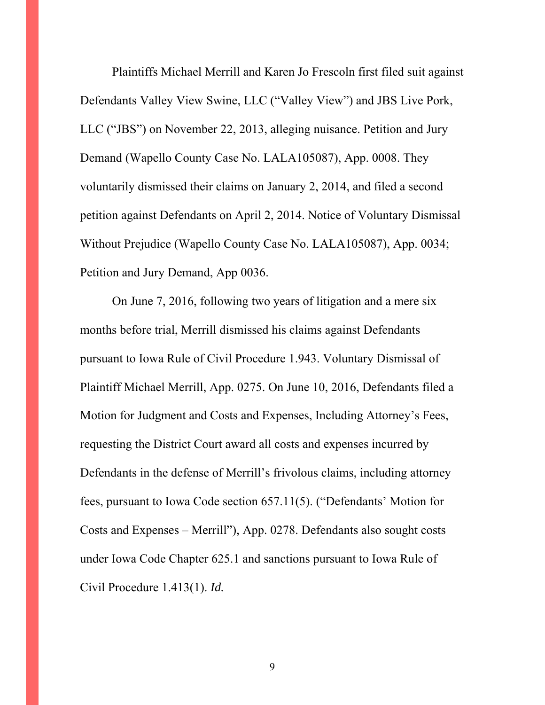Plaintiffs Michael Merrill and Karen Jo Frescoln first filed suit against Defendants Valley View Swine, LLC ("Valley View") and JBS Live Pork, LLC ("JBS") on November 22, 2013, alleging nuisance. Petition and Jury Demand (Wapello County Case No. LALA105087), App. 0008. They voluntarily dismissed their claims on January 2, 2014, and filed a second petition against Defendants on April 2, 2014. Notice of Voluntary Dismissal Without Prejudice (Wapello County Case No. LALA105087), App. 0034; Petition and Jury Demand, App 0036.

On June 7, 2016, following two years of litigation and a mere six months before trial, Merrill dismissed his claims against Defendants pursuant to Iowa Rule of Civil Procedure 1.943. Voluntary Dismissal of Plaintiff Michael Merrill, App. 0275. On June 10, 2016, Defendants filed a Motion for Judgment and Costs and Expenses, Including Attorney's Fees, requesting the District Court award all costs and expenses incurred by Defendants in the defense of Merrill's frivolous claims, including attorney fees, pursuant to Iowa Code section 657.11(5). ("Defendants' Motion for Costs and Expenses – Merrill"), App. 0278. Defendants also sought costs under Iowa Code Chapter 625.1 and sanctions pursuant to Iowa Rule of Civil Procedure 1.413(1). *Id.*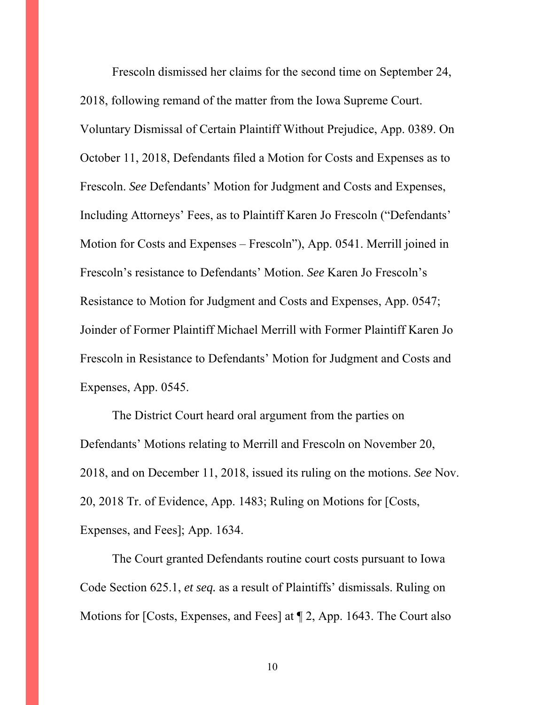Frescoln dismissed her claims for the second time on September 24, 2018, following remand of the matter from the Iowa Supreme Court. Voluntary Dismissal of Certain Plaintiff Without Prejudice, App. 0389. On October 11, 2018, Defendants filed a Motion for Costs and Expenses as to Frescoln. *See* Defendants' Motion for Judgment and Costs and Expenses, Including Attorneys' Fees, as to Plaintiff Karen Jo Frescoln ("Defendants' Motion for Costs and Expenses – Frescoln"), App. 0541. Merrill joined in Frescoln's resistance to Defendants' Motion. *See* Karen Jo Frescoln's Resistance to Motion for Judgment and Costs and Expenses, App. 0547; Joinder of Former Plaintiff Michael Merrill with Former Plaintiff Karen Jo Frescoln in Resistance to Defendants' Motion for Judgment and Costs and Expenses, App. 0545.

The District Court heard oral argument from the parties on Defendants' Motions relating to Merrill and Frescoln on November 20, 2018, and on December 11, 2018, issued its ruling on the motions. *See* Nov. 20, 2018 Tr. of Evidence, App. 1483; Ruling on Motions for [Costs, Expenses, and Fees]; App. 1634.

The Court granted Defendants routine court costs pursuant to Iowa Code Section 625.1, *et seq.* as a result of Plaintiffs' dismissals. Ruling on Motions for [Costs, Expenses, and Fees] at ¶ 2, App. 1643. The Court also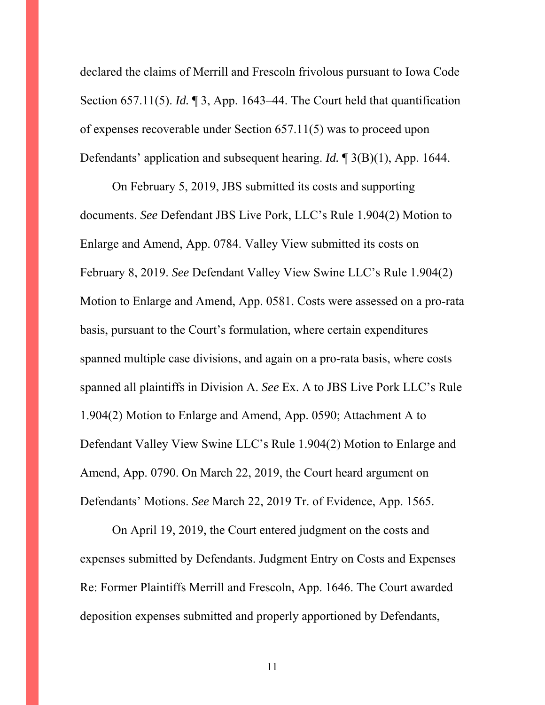declared the claims of Merrill and Frescoln frivolous pursuant to Iowa Code Section 657.11(5). *Id.* ¶ 3, App. 1643–44. The Court held that quantification of expenses recoverable under Section 657.11(5) was to proceed upon Defendants' application and subsequent hearing. *Id.* ¶ 3(B)(1), App. 1644.

On February 5, 2019, JBS submitted its costs and supporting documents. *See* Defendant JBS Live Pork, LLC's Rule 1.904(2) Motion to Enlarge and Amend, App. 0784. Valley View submitted its costs on February 8, 2019. *See* Defendant Valley View Swine LLC's Rule 1.904(2) Motion to Enlarge and Amend, App. 0581. Costs were assessed on a pro-rata basis, pursuant to the Court's formulation, where certain expenditures spanned multiple case divisions, and again on a pro-rata basis, where costs spanned all plaintiffs in Division A. *See* Ex. A to JBS Live Pork LLC's Rule 1.904(2) Motion to Enlarge and Amend, App. 0590; Attachment A to Defendant Valley View Swine LLC's Rule 1.904(2) Motion to Enlarge and Amend, App. 0790. On March 22, 2019, the Court heard argument on Defendants' Motions. *See* March 22, 2019 Tr. of Evidence, App. 1565.

On April 19, 2019, the Court entered judgment on the costs and expenses submitted by Defendants. Judgment Entry on Costs and Expenses Re: Former Plaintiffs Merrill and Frescoln, App. 1646. The Court awarded deposition expenses submitted and properly apportioned by Defendants,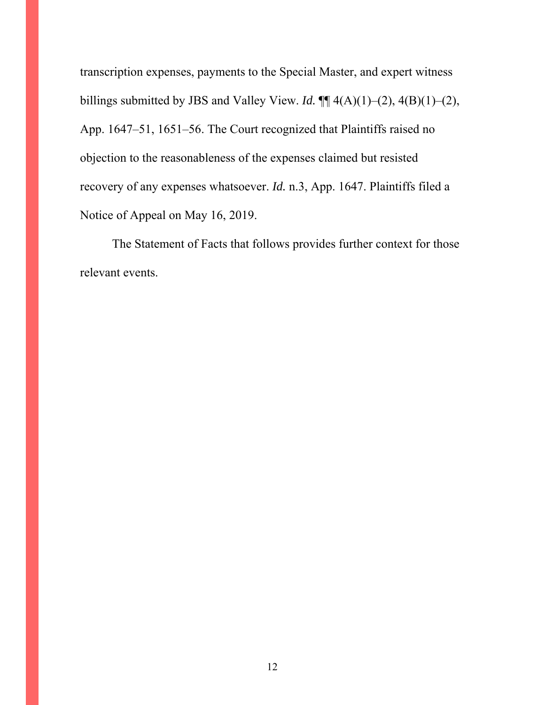transcription expenses, payments to the Special Master, and expert witness billings submitted by JBS and Valley View. *Id.*  $\P\P$  4(A)(1)–(2), 4(B)(1)–(2), App. 1647–51, 1651–56. The Court recognized that Plaintiffs raised no objection to the reasonableness of the expenses claimed but resisted recovery of any expenses whatsoever. *Id.* n.3, App. 1647. Plaintiffs filed a Notice of Appeal on May 16, 2019.

The Statement of Facts that follows provides further context for those relevant events.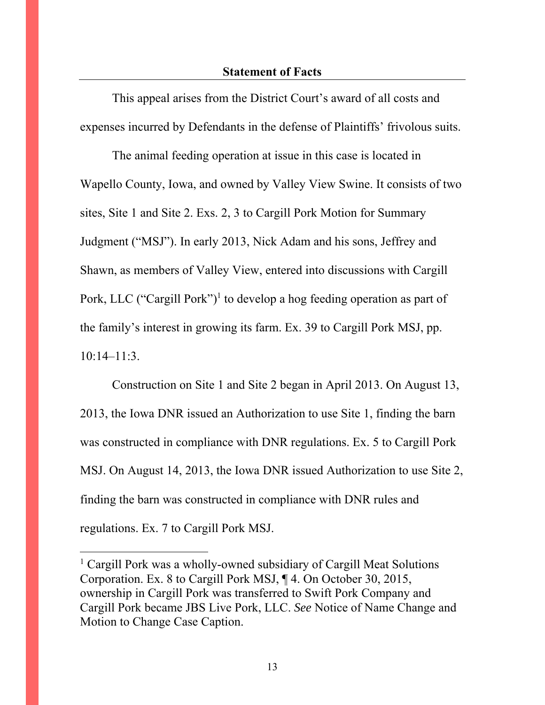This appeal arises from the District Court's award of all costs and expenses incurred by Defendants in the defense of Plaintiffs' frivolous suits.

The animal feeding operation at issue in this case is located in Wapello County, Iowa, and owned by Valley View Swine. It consists of two sites, Site 1 and Site 2. Exs. 2, 3 to Cargill Pork Motion for Summary Judgment ("MSJ"). In early 2013, Nick Adam and his sons, Jeffrey and Shawn, as members of Valley View, entered into discussions with Cargill Pork, LLC ("Cargill Pork")<sup>1</sup> to develop a hog feeding operation as part of the family's interest in growing its farm. Ex. 39 to Cargill Pork MSJ, pp. 10:14–11:3.

Construction on Site 1 and Site 2 began in April 2013. On August 13, 2013, the Iowa DNR issued an Authorization to use Site 1, finding the barn was constructed in compliance with DNR regulations. Ex. 5 to Cargill Pork MSJ. On August 14, 2013, the Iowa DNR issued Authorization to use Site 2, finding the barn was constructed in compliance with DNR rules and regulations. Ex. 7 to Cargill Pork MSJ.

 $\overline{a}$ 

<sup>&</sup>lt;sup>1</sup> Cargill Pork was a wholly-owned subsidiary of Cargill Meat Solutions Corporation. Ex. 8 to Cargill Pork MSJ, ¶ 4. On October 30, 2015, ownership in Cargill Pork was transferred to Swift Pork Company and Cargill Pork became JBS Live Pork, LLC. *See* Notice of Name Change and Motion to Change Case Caption.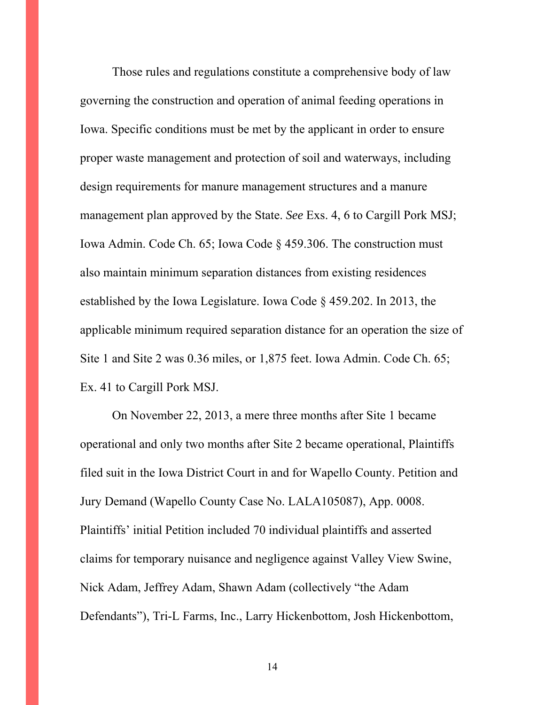Those rules and regulations constitute a comprehensive body of law governing the construction and operation of animal feeding operations in Iowa. Specific conditions must be met by the applicant in order to ensure proper waste management and protection of soil and waterways, including design requirements for manure management structures and a manure management plan approved by the State. *See* Exs. 4, 6 to Cargill Pork MSJ; Iowa Admin. Code Ch. 65; Iowa Code § 459.306. The construction must also maintain minimum separation distances from existing residences established by the Iowa Legislature. Iowa Code § 459.202. In 2013, the applicable minimum required separation distance for an operation the size of Site 1 and Site 2 was 0.36 miles, or 1,875 feet. Iowa Admin. Code Ch. 65; Ex. 41 to Cargill Pork MSJ.

On November 22, 2013, a mere three months after Site 1 became operational and only two months after Site 2 became operational, Plaintiffs filed suit in the Iowa District Court in and for Wapello County. Petition and Jury Demand (Wapello County Case No. LALA105087), App. 0008. Plaintiffs' initial Petition included 70 individual plaintiffs and asserted claims for temporary nuisance and negligence against Valley View Swine, Nick Adam, Jeffrey Adam, Shawn Adam (collectively "the Adam Defendants"), Tri-L Farms, Inc., Larry Hickenbottom, Josh Hickenbottom,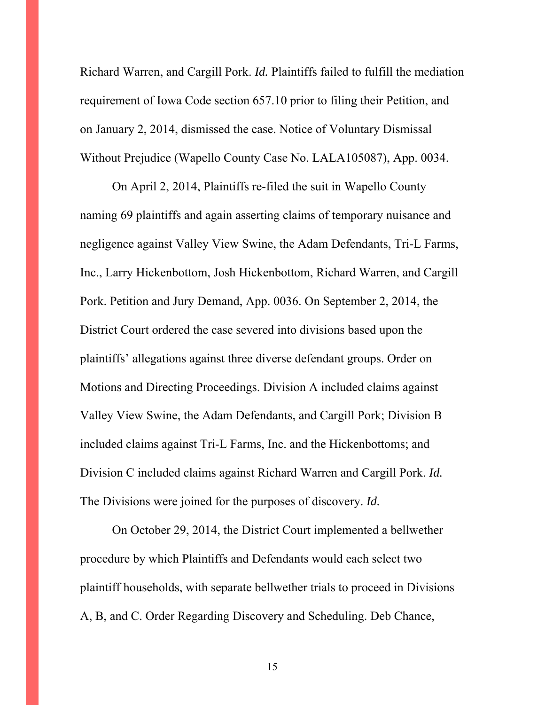Richard Warren, and Cargill Pork. *Id.* Plaintiffs failed to fulfill the mediation requirement of Iowa Code section 657.10 prior to filing their Petition, and on January 2, 2014, dismissed the case. Notice of Voluntary Dismissal Without Prejudice (Wapello County Case No. LALA105087), App. 0034.

On April 2, 2014, Plaintiffs re-filed the suit in Wapello County naming 69 plaintiffs and again asserting claims of temporary nuisance and negligence against Valley View Swine, the Adam Defendants, Tri-L Farms, Inc., Larry Hickenbottom, Josh Hickenbottom, Richard Warren, and Cargill Pork. Petition and Jury Demand, App. 0036. On September 2, 2014, the District Court ordered the case severed into divisions based upon the plaintiffs' allegations against three diverse defendant groups. Order on Motions and Directing Proceedings. Division A included claims against Valley View Swine, the Adam Defendants, and Cargill Pork; Division B included claims against Tri-L Farms, Inc. and the Hickenbottoms; and Division C included claims against Richard Warren and Cargill Pork. *Id.* The Divisions were joined for the purposes of discovery. *Id.*

On October 29, 2014, the District Court implemented a bellwether procedure by which Plaintiffs and Defendants would each select two plaintiff households, with separate bellwether trials to proceed in Divisions A, B, and C. Order Regarding Discovery and Scheduling. Deb Chance,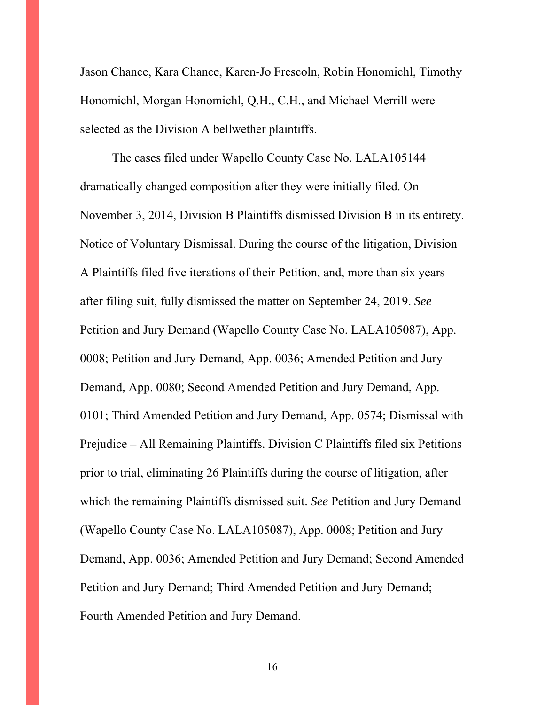Jason Chance, Kara Chance, Karen-Jo Frescoln, Robin Honomichl, Timothy Honomichl, Morgan Honomichl, Q.H., C.H., and Michael Merrill were selected as the Division A bellwether plaintiffs.

The cases filed under Wapello County Case No. LALA105144 dramatically changed composition after they were initially filed. On November 3, 2014, Division B Plaintiffs dismissed Division B in its entirety. Notice of Voluntary Dismissal. During the course of the litigation, Division A Plaintiffs filed five iterations of their Petition, and, more than six years after filing suit, fully dismissed the matter on September 24, 2019. *See* Petition and Jury Demand (Wapello County Case No. LALA105087), App. 0008; Petition and Jury Demand, App. 0036; Amended Petition and Jury Demand, App. 0080; Second Amended Petition and Jury Demand, App. 0101; Third Amended Petition and Jury Demand, App. 0574; Dismissal with Prejudice – All Remaining Plaintiffs. Division C Plaintiffs filed six Petitions prior to trial, eliminating 26 Plaintiffs during the course of litigation, after which the remaining Plaintiffs dismissed suit. *See* Petition and Jury Demand (Wapello County Case No. LALA105087), App. 0008; Petition and Jury Demand, App. 0036; Amended Petition and Jury Demand; Second Amended Petition and Jury Demand; Third Amended Petition and Jury Demand; Fourth Amended Petition and Jury Demand.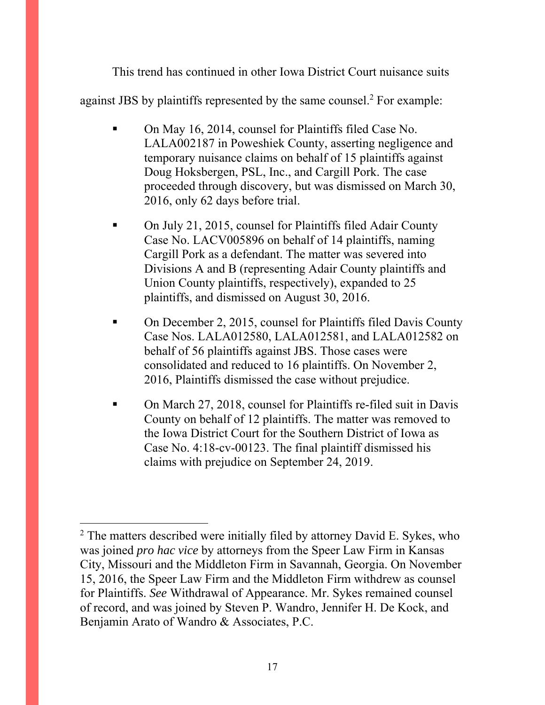This trend has continued in other Iowa District Court nuisance suits against JBS by plaintiffs represented by the same counsel.<sup>2</sup> For example:

- On May 16, 2014, counsel for Plaintiffs filed Case No. LALA002187 in Poweshiek County, asserting negligence and temporary nuisance claims on behalf of 15 plaintiffs against Doug Hoksbergen, PSL, Inc., and Cargill Pork. The case proceeded through discovery, but was dismissed on March 30, 2016, only 62 days before trial.
- On July 21, 2015, counsel for Plaintiffs filed Adair County Case No. LACV005896 on behalf of 14 plaintiffs, naming Cargill Pork as a defendant. The matter was severed into Divisions A and B (representing Adair County plaintiffs and Union County plaintiffs, respectively), expanded to 25 plaintiffs, and dismissed on August 30, 2016.
- On December 2, 2015, counsel for Plaintiffs filed Davis County Case Nos. LALA012580, LALA012581, and LALA012582 on behalf of 56 plaintiffs against JBS. Those cases were consolidated and reduced to 16 plaintiffs. On November 2, 2016, Plaintiffs dismissed the case without prejudice.
- On March 27, 2018, counsel for Plaintiffs re-filed suit in Davis County on behalf of 12 plaintiffs. The matter was removed to the Iowa District Court for the Southern District of Iowa as Case No. 4:18-cv-00123. The final plaintiff dismissed his claims with prejudice on September 24, 2019.

 $\overline{a}$ 

 $2$  The matters described were initially filed by attorney David E. Sykes, who was joined *pro hac vice* by attorneys from the Speer Law Firm in Kansas City, Missouri and the Middleton Firm in Savannah, Georgia. On November 15, 2016, the Speer Law Firm and the Middleton Firm withdrew as counsel for Plaintiffs. *See* Withdrawal of Appearance. Mr. Sykes remained counsel of record, and was joined by Steven P. Wandro, Jennifer H. De Kock, and Benjamin Arato of Wandro & Associates, P.C.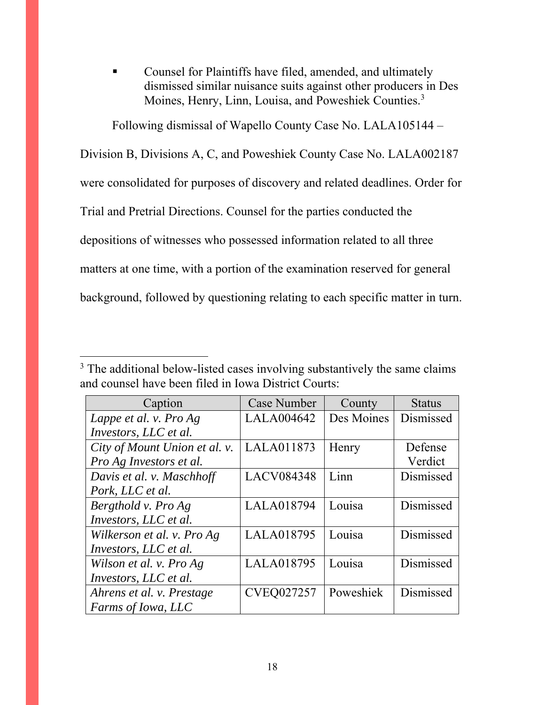Counsel for Plaintiffs have filed, amended, and ultimately dismissed similar nuisance suits against other producers in Des Moines, Henry, Linn, Louisa, and Poweshiek Counties.3

Following dismissal of Wapello County Case No. LALA105144 –

Division B, Divisions A, C, and Poweshiek County Case No. LALA002187

were consolidated for purposes of discovery and related deadlines. Order for

Trial and Pretrial Directions. Counsel for the parties conducted the

depositions of witnesses who possessed information related to all three

matters at one time, with a portion of the examination reserved for general

background, followed by questioning relating to each specific matter in turn.

 $\overline{a}$ 

| Caption                       | Case Number       | County     | <b>Status</b> |
|-------------------------------|-------------------|------------|---------------|
| Lappe et al. v. Pro Ag        | <b>LALA004642</b> | Des Moines | Dismissed     |
| Investors, LLC et al.         |                   |            |               |
| City of Mount Union et al. v. | LALA011873        | Henry      | Defense       |
| Pro Ag Investors et al.       |                   |            | Verdict       |
| Davis et al. v. Maschhoff     | LACV084348        | Linn       | Dismissed     |
| Pork, LLC et al.              |                   |            |               |
| Bergthold v. Pro Ag           | LALA018794        | Louisa     | Dismissed     |
| Investors, LLC et al.         |                   |            |               |
| Wilkerson et al. v. Pro Ag    | LALA018795        | Louisa     | Dismissed     |
| Investors, LLC et al.         |                   |            |               |
| Wilson et al. v. Pro Ag       | LALA018795        | Louisa     | Dismissed     |
| Investors, LLC et al.         |                   |            |               |
| Ahrens et al. v. Prestage     | <b>CVEQ027257</b> | Poweshiek  | Dismissed     |
| Farms of Iowa, LLC            |                   |            |               |

<sup>&</sup>lt;sup>3</sup> The additional below-listed cases involving substantively the same claims and counsel have been filed in Iowa District Courts: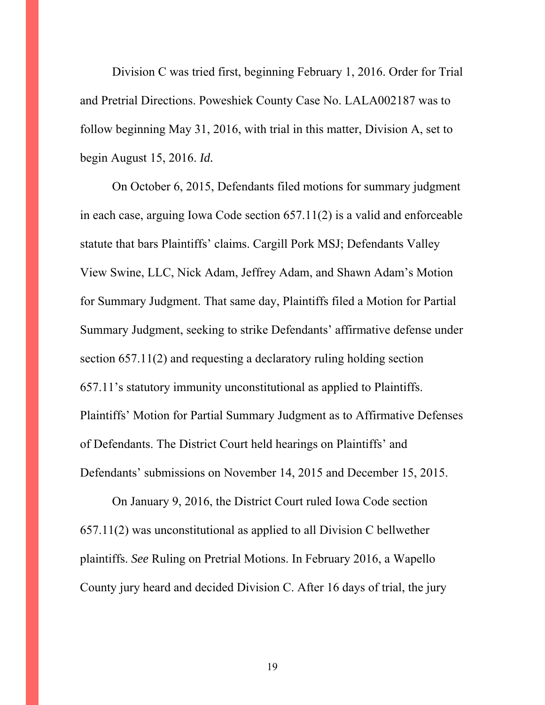Division C was tried first, beginning February 1, 2016. Order for Trial and Pretrial Directions. Poweshiek County Case No. LALA002187 was to follow beginning May 31, 2016, with trial in this matter, Division A, set to begin August 15, 2016. *Id.*

On October 6, 2015, Defendants filed motions for summary judgment in each case, arguing Iowa Code section 657.11(2) is a valid and enforceable statute that bars Plaintiffs' claims. Cargill Pork MSJ; Defendants Valley View Swine, LLC, Nick Adam, Jeffrey Adam, and Shawn Adam's Motion for Summary Judgment. That same day, Plaintiffs filed a Motion for Partial Summary Judgment, seeking to strike Defendants' affirmative defense under section 657.11(2) and requesting a declaratory ruling holding section 657.11's statutory immunity unconstitutional as applied to Plaintiffs. Plaintiffs' Motion for Partial Summary Judgment as to Affirmative Defenses of Defendants. The District Court held hearings on Plaintiffs' and Defendants' submissions on November 14, 2015 and December 15, 2015.

On January 9, 2016, the District Court ruled Iowa Code section 657.11(2) was unconstitutional as applied to all Division C bellwether plaintiffs. *See* Ruling on Pretrial Motions. In February 2016, a Wapello County jury heard and decided Division C. After 16 days of trial, the jury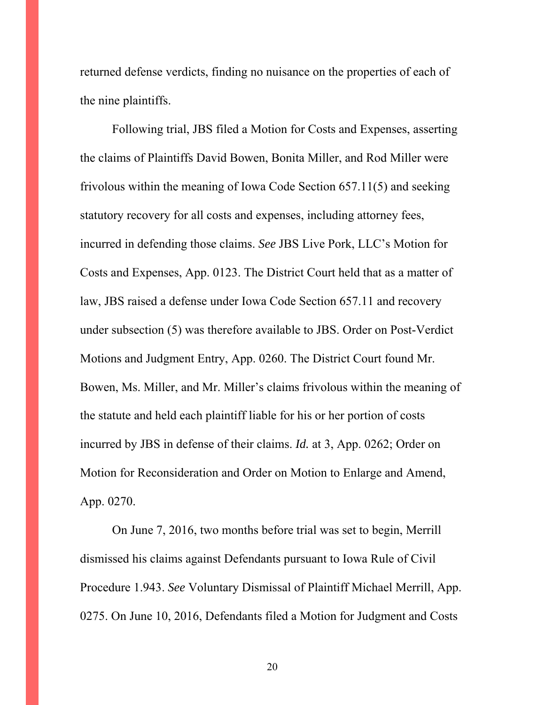returned defense verdicts, finding no nuisance on the properties of each of the nine plaintiffs.

Following trial, JBS filed a Motion for Costs and Expenses, asserting the claims of Plaintiffs David Bowen, Bonita Miller, and Rod Miller were frivolous within the meaning of Iowa Code Section 657.11(5) and seeking statutory recovery for all costs and expenses, including attorney fees, incurred in defending those claims. *See* JBS Live Pork, LLC's Motion for Costs and Expenses, App. 0123. The District Court held that as a matter of law, JBS raised a defense under Iowa Code Section 657.11 and recovery under subsection (5) was therefore available to JBS. Order on Post-Verdict Motions and Judgment Entry, App. 0260. The District Court found Mr. Bowen, Ms. Miller, and Mr. Miller's claims frivolous within the meaning of the statute and held each plaintiff liable for his or her portion of costs incurred by JBS in defense of their claims. *Id.* at 3, App. 0262; Order on Motion for Reconsideration and Order on Motion to Enlarge and Amend, App. 0270.

On June 7, 2016, two months before trial was set to begin, Merrill dismissed his claims against Defendants pursuant to Iowa Rule of Civil Procedure 1.943. *See* Voluntary Dismissal of Plaintiff Michael Merrill, App. 0275. On June 10, 2016, Defendants filed a Motion for Judgment and Costs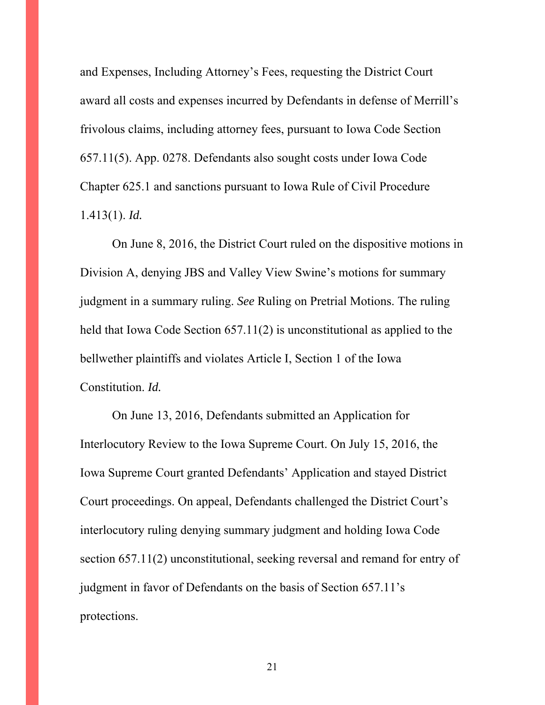and Expenses, Including Attorney's Fees, requesting the District Court award all costs and expenses incurred by Defendants in defense of Merrill's frivolous claims, including attorney fees, pursuant to Iowa Code Section 657.11(5). App. 0278. Defendants also sought costs under Iowa Code Chapter 625.1 and sanctions pursuant to Iowa Rule of Civil Procedure 1.413(1). *Id.*

On June 8, 2016, the District Court ruled on the dispositive motions in Division A, denying JBS and Valley View Swine's motions for summary judgment in a summary ruling. *See* Ruling on Pretrial Motions. The ruling held that Iowa Code Section 657.11(2) is unconstitutional as applied to the bellwether plaintiffs and violates Article I, Section 1 of the Iowa Constitution. *Id.* 

On June 13, 2016, Defendants submitted an Application for Interlocutory Review to the Iowa Supreme Court. On July 15, 2016, the Iowa Supreme Court granted Defendants' Application and stayed District Court proceedings. On appeal, Defendants challenged the District Court's interlocutory ruling denying summary judgment and holding Iowa Code section 657.11(2) unconstitutional, seeking reversal and remand for entry of judgment in favor of Defendants on the basis of Section 657.11's protections.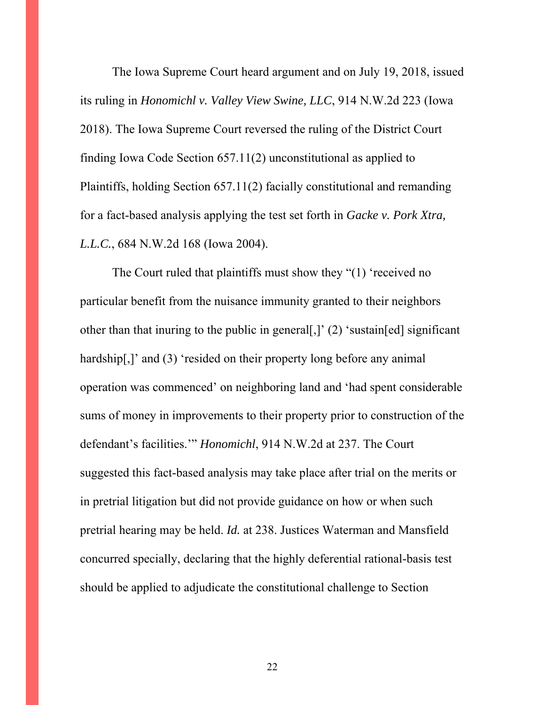The Iowa Supreme Court heard argument and on July 19, 2018, issued its ruling in *Honomichl v. Valley View Swine, LLC*, 914 N.W.2d 223 (Iowa 2018). The Iowa Supreme Court reversed the ruling of the District Court finding Iowa Code Section 657.11(2) unconstitutional as applied to Plaintiffs, holding Section 657.11(2) facially constitutional and remanding for a fact-based analysis applying the test set forth in *Gacke v. Pork Xtra, L.L.C.*, 684 N.W.2d 168 (Iowa 2004).

The Court ruled that plaintiffs must show they "(1) 'received no particular benefit from the nuisance immunity granted to their neighbors other than that inuring to the public in general[,]' (2) 'sustain[ed] significant hardship[,]' and (3) 'resided on their property long before any animal operation was commenced' on neighboring land and 'had spent considerable sums of money in improvements to their property prior to construction of the defendant's facilities.'" *Honomichl*, 914 N.W.2d at 237. The Court suggested this fact-based analysis may take place after trial on the merits or in pretrial litigation but did not provide guidance on how or when such pretrial hearing may be held. *Id.* at 238. Justices Waterman and Mansfield concurred specially, declaring that the highly deferential rational-basis test should be applied to adjudicate the constitutional challenge to Section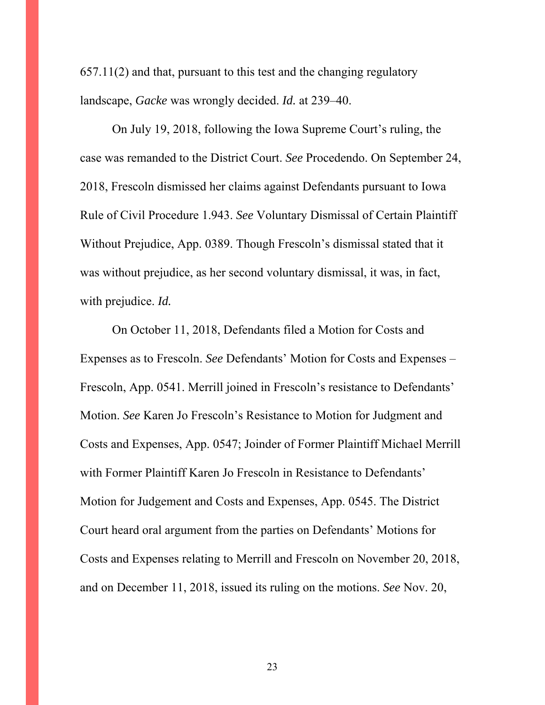657.11(2) and that, pursuant to this test and the changing regulatory landscape, *Gacke* was wrongly decided. *Id.* at 239–40.

 On July 19, 2018, following the Iowa Supreme Court's ruling, the case was remanded to the District Court. *See* Procedendo. On September 24, 2018, Frescoln dismissed her claims against Defendants pursuant to Iowa Rule of Civil Procedure 1.943. *See* Voluntary Dismissal of Certain Plaintiff Without Prejudice, App. 0389. Though Frescoln's dismissal stated that it was without prejudice, as her second voluntary dismissal, it was, in fact, with prejudice. *Id.*

On October 11, 2018, Defendants filed a Motion for Costs and Expenses as to Frescoln. *See* Defendants' Motion for Costs and Expenses – Frescoln, App. 0541. Merrill joined in Frescoln's resistance to Defendants' Motion. *See* Karen Jo Frescoln's Resistance to Motion for Judgment and Costs and Expenses, App. 0547; Joinder of Former Plaintiff Michael Merrill with Former Plaintiff Karen Jo Frescoln in Resistance to Defendants' Motion for Judgement and Costs and Expenses, App. 0545. The District Court heard oral argument from the parties on Defendants' Motions for Costs and Expenses relating to Merrill and Frescoln on November 20, 2018, and on December 11, 2018, issued its ruling on the motions. *See* Nov. 20,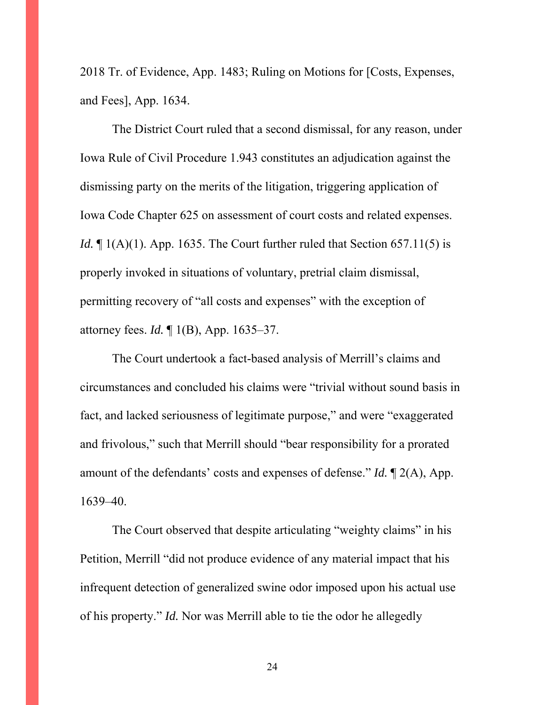2018 Tr. of Evidence, App. 1483; Ruling on Motions for [Costs, Expenses, and Fees], App. 1634.

 The District Court ruled that a second dismissal, for any reason, under Iowa Rule of Civil Procedure 1.943 constitutes an adjudication against the dismissing party on the merits of the litigation, triggering application of Iowa Code Chapter 625 on assessment of court costs and related expenses. *Id.*  $\mathbb{I} (A)(1)$ . App. 1635. The Court further ruled that Section 657.11(5) is properly invoked in situations of voluntary, pretrial claim dismissal, permitting recovery of "all costs and expenses" with the exception of attorney fees. *Id.* ¶ 1(B), App. 1635–37.

The Court undertook a fact-based analysis of Merrill's claims and circumstances and concluded his claims were "trivial without sound basis in fact, and lacked seriousness of legitimate purpose," and were "exaggerated and frivolous," such that Merrill should "bear responsibility for a prorated amount of the defendants' costs and expenses of defense." *Id.* ¶ 2(A), App. 1639–40.

The Court observed that despite articulating "weighty claims" in his Petition, Merrill "did not produce evidence of any material impact that his infrequent detection of generalized swine odor imposed upon his actual use of his property." *Id.* Nor was Merrill able to tie the odor he allegedly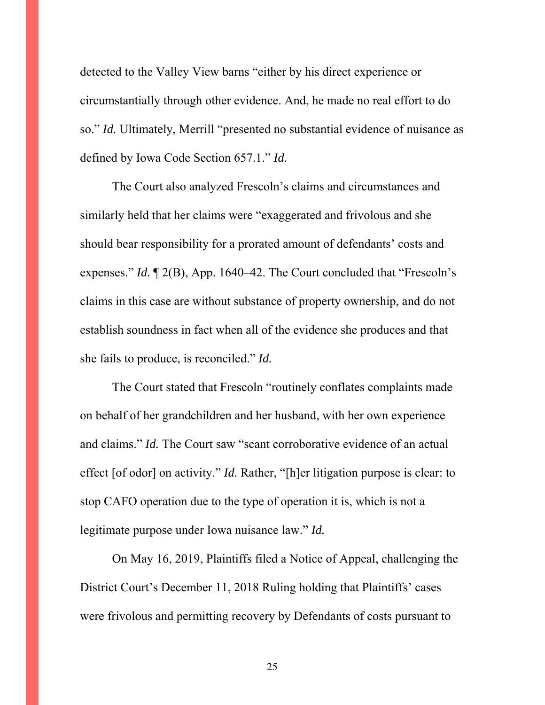detected to the Valley View barns "either by his direct experience or circumstantially through other evidence. And, he made no real effort to do so." *Id.* Ultimately, Merrill "presented no substantial evidence of nuisance as defined by Iowa Code Section 657.1." *Id.*

The Court also analyzed Frescoln's claims and circumstances and similarly held that her claims were "exaggerated and frivolous and she should bear responsibility for a prorated amount of defendants' costs and expenses." *Id.* ¶ 2(B), App. 1640–42. The Court concluded that "Frescoln's claims in this case are without substance of property ownership, and do not establish soundness in fact when all of the evidence she produces and that she fails to produce, is reconciled." *Id.*

The Court stated that Frescoln "routinely conflates complaints made on behalf of her grandchildren and her husband, with her own experience and claims." *Id.* The Court saw "scant corroborative evidence of an actual effect [of odor] on activity." *Id.* Rather, "[h]er litigation purpose is clear: to stop CAFO operation due to the type of operation it is, which is not a legitimate purpose under Iowa nuisance law." *Id.*

On May 16, 2019, Plaintiffs filed a Notice of Appeal, challenging the District Court's December 11, 2018 Ruling holding that Plaintiffs' cases were frivolous and permitting recovery by Defendants of costs pursuant to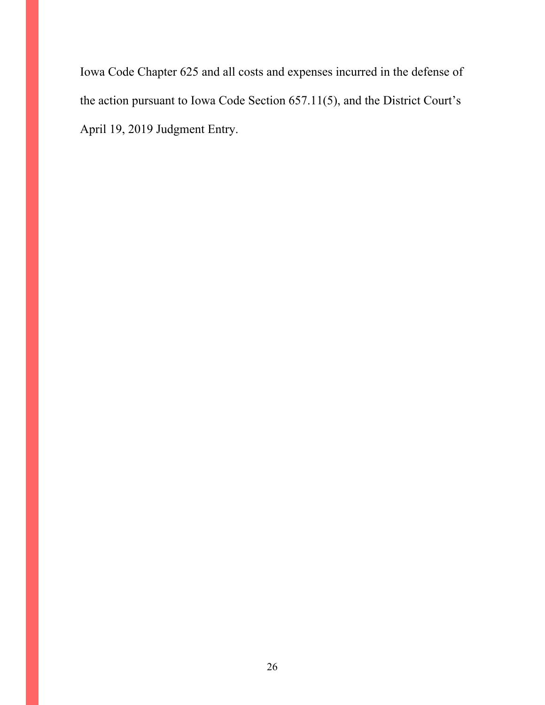Iowa Code Chapter 625 and all costs and expenses incurred in the defense of the action pursuant to Iowa Code Section 657.11(5), and the District Court's April 19, 2019 Judgment Entry.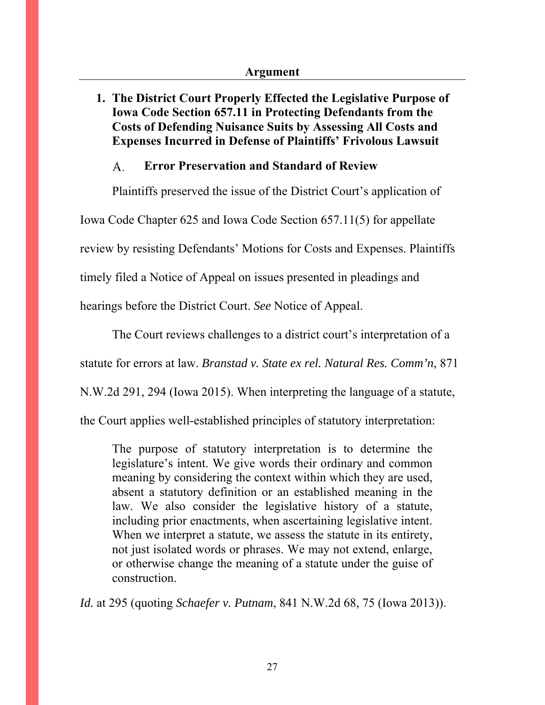## **1. The District Court Properly Effected the Legislative Purpose of Iowa Code Section 657.11 in Protecting Defendants from the Costs of Defending Nuisance Suits by Assessing All Costs and Expenses Incurred in Defense of Plaintiffs' Frivolous Lawsuit**

#### **Error Preservation and Standard of Review**  A.

Plaintiffs preserved the issue of the District Court's application of

Iowa Code Chapter 625 and Iowa Code Section 657.11(5) for appellate

review by resisting Defendants' Motions for Costs and Expenses. Plaintiffs

timely filed a Notice of Appeal on issues presented in pleadings and

hearings before the District Court. *See* Notice of Appeal.

The Court reviews challenges to a district court's interpretation of a

statute for errors at law. *Branstad v. State ex rel. Natural Res. Comm'n*, 871

N.W.2d 291, 294 (Iowa 2015). When interpreting the language of a statute,

the Court applies well-established principles of statutory interpretation:

The purpose of statutory interpretation is to determine the legislature's intent. We give words their ordinary and common meaning by considering the context within which they are used, absent a statutory definition or an established meaning in the law. We also consider the legislative history of a statute, including prior enactments, when ascertaining legislative intent. When we interpret a statute, we assess the statute in its entirety, not just isolated words or phrases. We may not extend, enlarge, or otherwise change the meaning of a statute under the guise of construction.

*Id.* at 295 (quoting *Schaefer v. Putnam*, 841 N.W.2d 68, 75 (Iowa 2013)).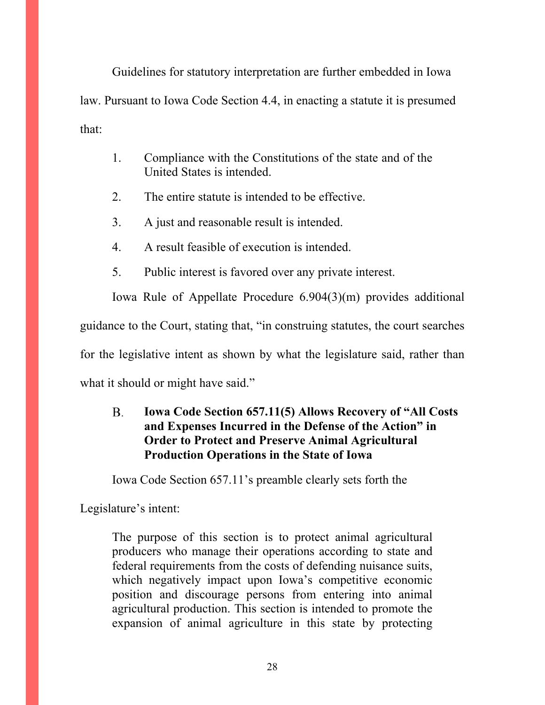Guidelines for statutory interpretation are further embedded in Iowa law. Pursuant to Iowa Code Section 4.4, in enacting a statute it is presumed that:

- 1. Compliance with the Constitutions of the state and of the United States is intended.
- 2. The entire statute is intended to be effective.
- 3. A just and reasonable result is intended.
- 4. A result feasible of execution is intended.
- 5. Public interest is favored over any private interest.

Iowa Rule of Appellate Procedure 6.904(3)(m) provides additional

guidance to the Court, stating that, "in construing statutes, the court searches

for the legislative intent as shown by what the legislature said, rather than

what it should or might have said."

#### **B. Iowa Code Section 657.11(5) Allows Recovery of "All Costs and Expenses Incurred in the Defense of the Action" in Order to Protect and Preserve Animal Agricultural Production Operations in the State of Iowa**

Iowa Code Section 657.11's preamble clearly sets forth the

Legislature's intent:

The purpose of this section is to protect animal agricultural producers who manage their operations according to state and federal requirements from the costs of defending nuisance suits, which negatively impact upon Iowa's competitive economic position and discourage persons from entering into animal agricultural production. This section is intended to promote the expansion of animal agriculture in this state by protecting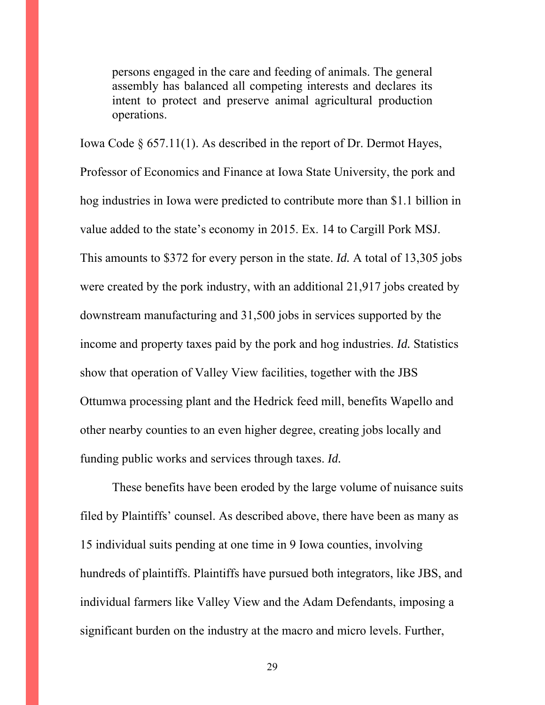persons engaged in the care and feeding of animals. The general assembly has balanced all competing interests and declares its intent to protect and preserve animal agricultural production operations.

Iowa Code § 657.11(1). As described in the report of Dr. Dermot Hayes, Professor of Economics and Finance at Iowa State University, the pork and hog industries in Iowa were predicted to contribute more than \$1.1 billion in value added to the state's economy in 2015. Ex. 14 to Cargill Pork MSJ. This amounts to \$372 for every person in the state. *Id.* A total of 13,305 jobs were created by the pork industry, with an additional 21,917 jobs created by downstream manufacturing and 31,500 jobs in services supported by the income and property taxes paid by the pork and hog industries. *Id.* Statistics show that operation of Valley View facilities, together with the JBS Ottumwa processing plant and the Hedrick feed mill, benefits Wapello and other nearby counties to an even higher degree, creating jobs locally and funding public works and services through taxes. *Id.*

These benefits have been eroded by the large volume of nuisance suits filed by Plaintiffs' counsel. As described above, there have been as many as 15 individual suits pending at one time in 9 Iowa counties, involving hundreds of plaintiffs. Plaintiffs have pursued both integrators, like JBS, and individual farmers like Valley View and the Adam Defendants, imposing a significant burden on the industry at the macro and micro levels. Further,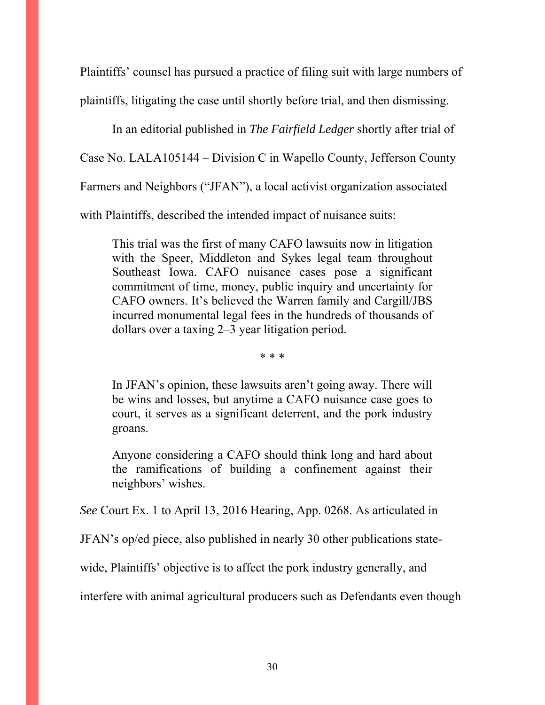Plaintiffs' counsel has pursued a practice of filing suit with large numbers of plaintiffs, litigating the case until shortly before trial, and then dismissing.

In an editorial published in *The Fairfield Ledger* shortly after trial of Case No. LALA105144 – Division C in Wapello County, Jefferson County Farmers and Neighbors ("JFAN"), a local activist organization associated with Plaintiffs, described the intended impact of nuisance suits:

This trial was the first of many CAFO lawsuits now in litigation with the Speer, Middleton and Sykes legal team throughout Southeast Iowa. CAFO nuisance cases pose a significant commitment of time, money, public inquiry and uncertainty for CAFO owners. It's believed the Warren family and Cargill/JBS incurred monumental legal fees in the hundreds of thousands of dollars over a taxing 2–3 year litigation period.

\* \* \*

In JFAN's opinion, these lawsuits aren't going away. There will be wins and losses, but anytime a CAFO nuisance case goes to court, it serves as a significant deterrent, and the pork industry groans.

Anyone considering a CAFO should think long and hard about the ramifications of building a confinement against their neighbors' wishes.

*See* Court Ex. 1 to April 13, 2016 Hearing, App. 0268. As articulated in

JFAN's op/ed piece, also published in nearly 30 other publications state-

wide, Plaintiffs' objective is to affect the pork industry generally, and

interfere with animal agricultural producers such as Defendants even though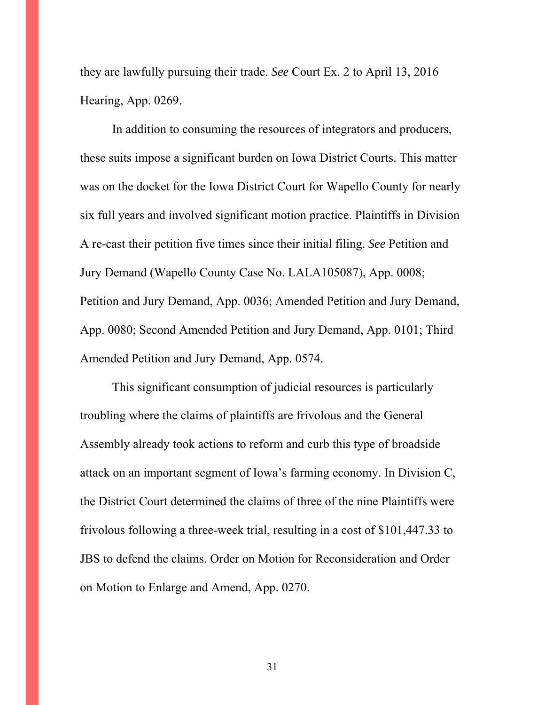they are lawfully pursuing their trade. *See* Court Ex. 2 to April 13, 2016 Hearing, App. 0269.

In addition to consuming the resources of integrators and producers, these suits impose a significant burden on Iowa District Courts. This matter was on the docket for the Iowa District Court for Wapello County for nearly six full years and involved significant motion practice. Plaintiffs in Division A re-cast their petition five times since their initial filing. *See* Petition and Jury Demand (Wapello County Case No. LALA105087), App. 0008; Petition and Jury Demand, App. 0036; Amended Petition and Jury Demand, App. 0080; Second Amended Petition and Jury Demand, App. 0101; Third Amended Petition and Jury Demand, App. 0574.

This significant consumption of judicial resources is particularly troubling where the claims of plaintiffs are frivolous and the General Assembly already took actions to reform and curb this type of broadside attack on an important segment of Iowa's farming economy. In Division C, the District Court determined the claims of three of the nine Plaintiffs were frivolous following a three-week trial, resulting in a cost of \$101,447.33 to JBS to defend the claims. Order on Motion for Reconsideration and Order on Motion to Enlarge and Amend, App. 0270.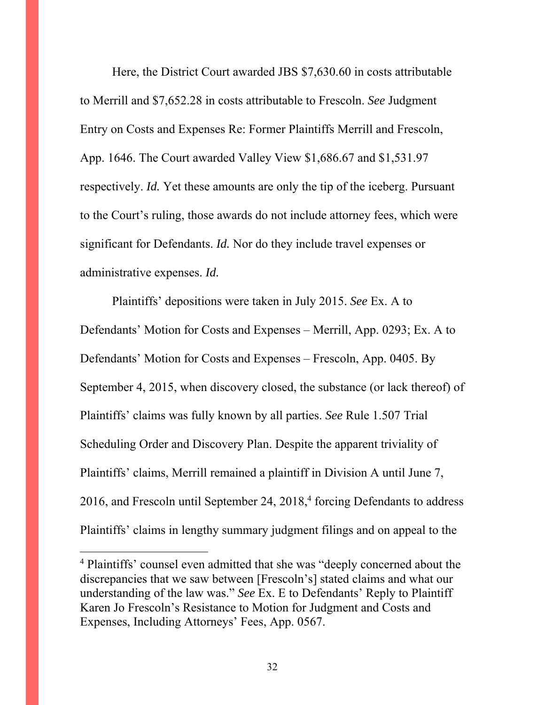Here, the District Court awarded JBS \$7,630.60 in costs attributable to Merrill and \$7,652.28 in costs attributable to Frescoln. *See* Judgment Entry on Costs and Expenses Re: Former Plaintiffs Merrill and Frescoln, App. 1646. The Court awarded Valley View \$1,686.67 and \$1,531.97 respectively. *Id.* Yet these amounts are only the tip of the iceberg. Pursuant to the Court's ruling, those awards do not include attorney fees, which were significant for Defendants. *Id.* Nor do they include travel expenses or administrative expenses. *Id.*

Plaintiffs' depositions were taken in July 2015. *See* Ex. A to Defendants' Motion for Costs and Expenses – Merrill, App. 0293; Ex. A to Defendants' Motion for Costs and Expenses – Frescoln, App. 0405. By September 4, 2015, when discovery closed, the substance (or lack thereof) of Plaintiffs' claims was fully known by all parties. *See* Rule 1.507 Trial Scheduling Order and Discovery Plan. Despite the apparent triviality of Plaintiffs' claims, Merrill remained a plaintiff in Division A until June 7, 2016, and Frescoln until September 24, 2018,<sup>4</sup> forcing Defendants to address Plaintiffs' claims in lengthy summary judgment filings and on appeal to the

 $\overline{a}$ 

<sup>4</sup> Plaintiffs' counsel even admitted that she was "deeply concerned about the discrepancies that we saw between [Frescoln's] stated claims and what our understanding of the law was." *See* Ex. E to Defendants' Reply to Plaintiff Karen Jo Frescoln's Resistance to Motion for Judgment and Costs and Expenses, Including Attorneys' Fees, App. 0567.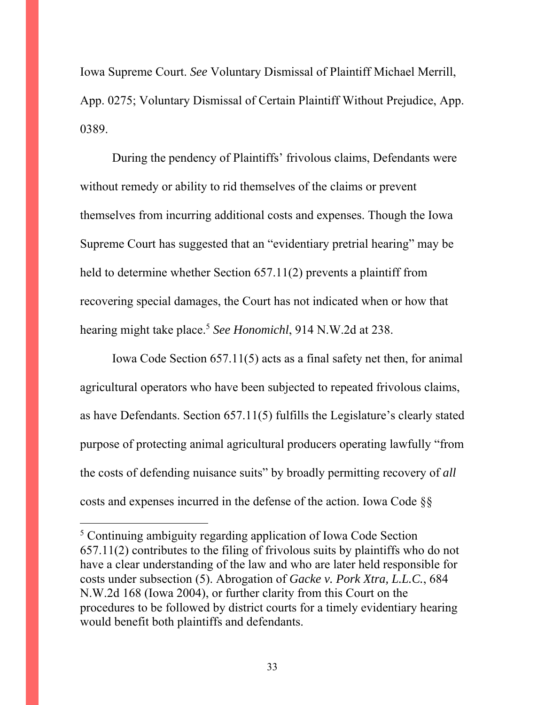Iowa Supreme Court. *See* Voluntary Dismissal of Plaintiff Michael Merrill, App. 0275; Voluntary Dismissal of Certain Plaintiff Without Prejudice, App. 0389.

During the pendency of Plaintiffs' frivolous claims, Defendants were without remedy or ability to rid themselves of the claims or prevent themselves from incurring additional costs and expenses. Though the Iowa Supreme Court has suggested that an "evidentiary pretrial hearing" may be held to determine whether Section 657.11(2) prevents a plaintiff from recovering special damages, the Court has not indicated when or how that hearing might take place.5 *See Honomichl*, 914 N.W.2d at 238.

Iowa Code Section 657.11(5) acts as a final safety net then, for animal agricultural operators who have been subjected to repeated frivolous claims, as have Defendants. Section 657.11(5) fulfills the Legislature's clearly stated purpose of protecting animal agricultural producers operating lawfully "from the costs of defending nuisance suits" by broadly permitting recovery of *all* costs and expenses incurred in the defense of the action. Iowa Code §§

 $\overline{a}$ 

<sup>5</sup> Continuing ambiguity regarding application of Iowa Code Section 657.11(2) contributes to the filing of frivolous suits by plaintiffs who do not have a clear understanding of the law and who are later held responsible for costs under subsection (5). Abrogation of *Gacke v. Pork Xtra, L.L.C.*, 684 N.W.2d 168 (Iowa 2004), or further clarity from this Court on the procedures to be followed by district courts for a timely evidentiary hearing would benefit both plaintiffs and defendants.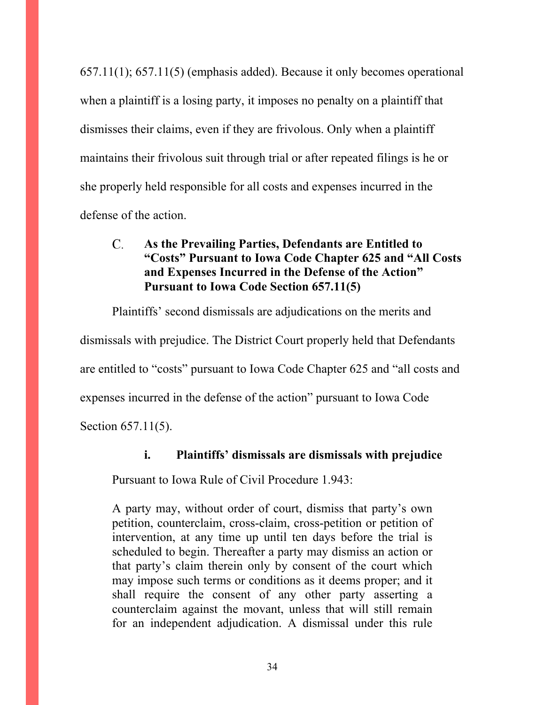657.11(1); 657.11(5) (emphasis added). Because it only becomes operational when a plaintiff is a losing party, it imposes no penalty on a plaintiff that dismisses their claims, even if they are frivolous. Only when a plaintiff maintains their frivolous suit through trial or after repeated filings is he or she properly held responsible for all costs and expenses incurred in the defense of the action.

#### $C_{\cdot}$ **As the Prevailing Parties, Defendants are Entitled to "Costs" Pursuant to Iowa Code Chapter 625 and "All Costs and Expenses Incurred in the Defense of the Action" Pursuant to Iowa Code Section 657.11(5)**

Plaintiffs' second dismissals are adjudications on the merits and dismissals with prejudice. The District Court properly held that Defendants are entitled to "costs" pursuant to Iowa Code Chapter 625 and "all costs and expenses incurred in the defense of the action" pursuant to Iowa Code Section 657.11(5).

#### **i. Plaintiffs' dismissals are dismissals with prejudice**

Pursuant to Iowa Rule of Civil Procedure 1.943:

A party may, without order of court, dismiss that party's own petition, counterclaim, cross-claim, cross-petition or petition of intervention, at any time up until ten days before the trial is scheduled to begin. Thereafter a party may dismiss an action or that party's claim therein only by consent of the court which may impose such terms or conditions as it deems proper; and it shall require the consent of any other party asserting a counterclaim against the movant, unless that will still remain for an independent adjudication. A dismissal under this rule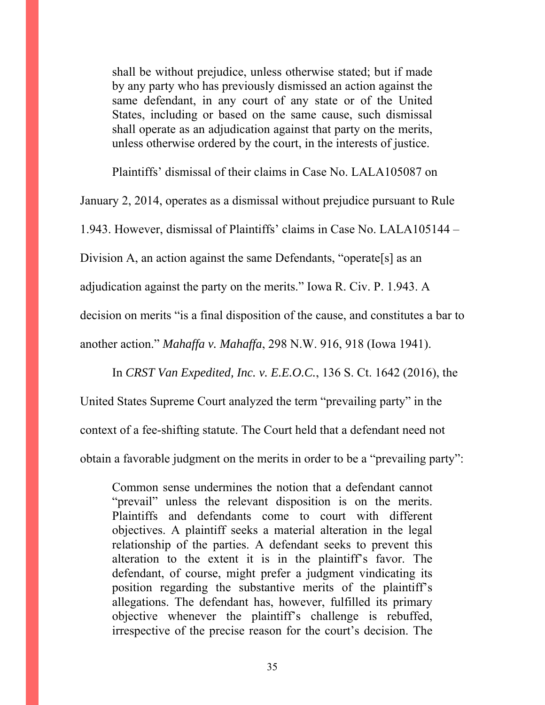shall be without prejudice, unless otherwise stated; but if made by any party who has previously dismissed an action against the same defendant, in any court of any state or of the United States, including or based on the same cause, such dismissal shall operate as an adjudication against that party on the merits, unless otherwise ordered by the court, in the interests of justice.

Plaintiffs' dismissal of their claims in Case No. LALA105087 on

January 2, 2014, operates as a dismissal without prejudice pursuant to Rule

1.943. However, dismissal of Plaintiffs' claims in Case No. LALA105144 –

Division A, an action against the same Defendants, "operate [s] as an

adjudication against the party on the merits." Iowa R. Civ. P. 1.943. A

decision on merits "is a final disposition of the cause, and constitutes a bar to

another action." *Mahaffa v. Mahaffa*, 298 N.W. 916, 918 (Iowa 1941).

In *CRST Van Expedited, Inc. v. E.E.O.C.*, 136 S. Ct. 1642 (2016), the

United States Supreme Court analyzed the term "prevailing party" in the context of a fee-shifting statute. The Court held that a defendant need not obtain a favorable judgment on the merits in order to be a "prevailing party":

Common sense undermines the notion that a defendant cannot "prevail" unless the relevant disposition is on the merits. Plaintiffs and defendants come to court with different objectives. A plaintiff seeks a material alteration in the legal relationship of the parties. A defendant seeks to prevent this alteration to the extent it is in the plaintiff's favor. The defendant, of course, might prefer a judgment vindicating its position regarding the substantive merits of the plaintiff's allegations. The defendant has, however, fulfilled its primary objective whenever the plaintiff's challenge is rebuffed, irrespective of the precise reason for the court's decision. The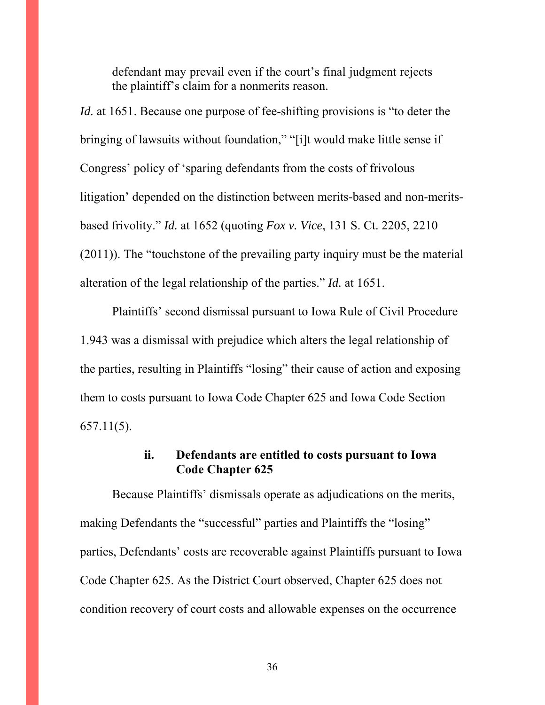defendant may prevail even if the court's final judgment rejects the plaintiff's claim for a nonmerits reason.

*Id.* at 1651. Because one purpose of fee-shifting provisions is "to deter the bringing of lawsuits without foundation," "[i]t would make little sense if Congress' policy of 'sparing defendants from the costs of frivolous litigation' depended on the distinction between merits-based and non-meritsbased frivolity." *Id.* at 1652 (quoting *Fox v. Vice*, 131 S. Ct. 2205, 2210 (2011)). The "touchstone of the prevailing party inquiry must be the material alteration of the legal relationship of the parties." *Id.* at 1651.

 Plaintiffs' second dismissal pursuant to Iowa Rule of Civil Procedure 1.943 was a dismissal with prejudice which alters the legal relationship of the parties, resulting in Plaintiffs "losing" their cause of action and exposing them to costs pursuant to Iowa Code Chapter 625 and Iowa Code Section 657.11(5).

#### **ii. Defendants are entitled to costs pursuant to Iowa Code Chapter 625**

Because Plaintiffs' dismissals operate as adjudications on the merits, making Defendants the "successful" parties and Plaintiffs the "losing" parties, Defendants' costs are recoverable against Plaintiffs pursuant to Iowa Code Chapter 625. As the District Court observed, Chapter 625 does not condition recovery of court costs and allowable expenses on the occurrence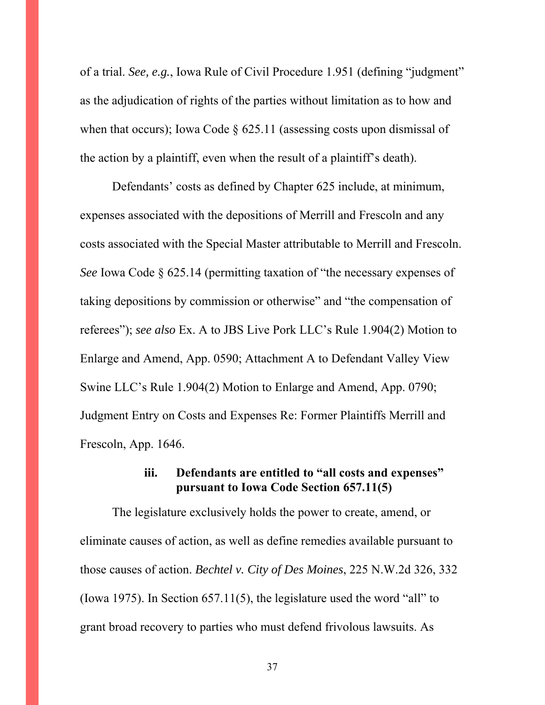of a trial. *See, e.g.*, Iowa Rule of Civil Procedure 1.951 (defining "judgment" as the adjudication of rights of the parties without limitation as to how and when that occurs); Iowa Code  $\S$  625.11 (assessing costs upon dismissal of the action by a plaintiff, even when the result of a plaintiff's death).

Defendants' costs as defined by Chapter 625 include, at minimum, expenses associated with the depositions of Merrill and Frescoln and any costs associated with the Special Master attributable to Merrill and Frescoln. *See* Iowa Code § 625.14 (permitting taxation of "the necessary expenses of taking depositions by commission or otherwise" and "the compensation of referees"); *see also* Ex. A to JBS Live Pork LLC's Rule 1.904(2) Motion to Enlarge and Amend, App. 0590; Attachment A to Defendant Valley View Swine LLC's Rule 1.904(2) Motion to Enlarge and Amend, App. 0790; Judgment Entry on Costs and Expenses Re: Former Plaintiffs Merrill and Frescoln, App. 1646.

## **iii. Defendants are entitled to "all costs and expenses" pursuant to Iowa Code Section 657.11(5)**

The legislature exclusively holds the power to create, amend, or eliminate causes of action, as well as define remedies available pursuant to those causes of action. *Bechtel v. City of Des Moines*, 225 N.W.2d 326, 332 (Iowa 1975). In Section 657.11(5), the legislature used the word "all" to grant broad recovery to parties who must defend frivolous lawsuits. As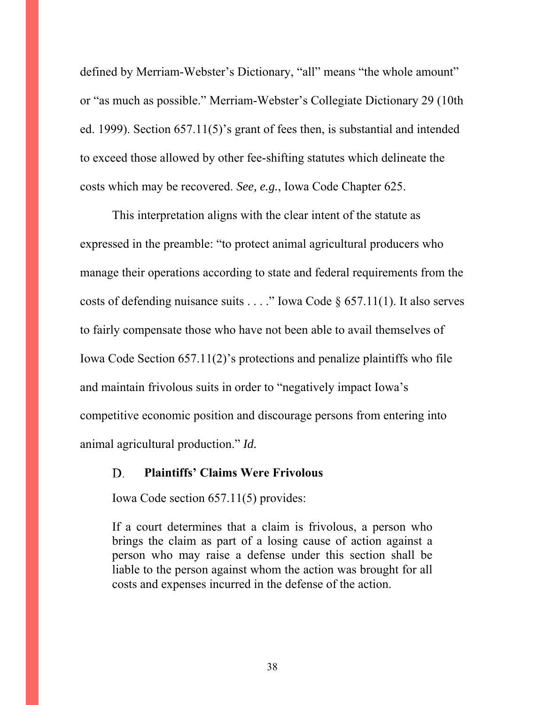defined by Merriam-Webster's Dictionary, "all" means "the whole amount" or "as much as possible." Merriam-Webster's Collegiate Dictionary 29 (10th ed. 1999). Section 657.11(5)'s grant of fees then, is substantial and intended to exceed those allowed by other fee-shifting statutes which delineate the costs which may be recovered. *See, e.g.*, Iowa Code Chapter 625.

This interpretation aligns with the clear intent of the statute as expressed in the preamble: "to protect animal agricultural producers who manage their operations according to state and federal requirements from the costs of defending nuisance suits . . . ." Iowa Code  $\S$  657.11(1). It also serves to fairly compensate those who have not been able to avail themselves of Iowa Code Section 657.11(2)'s protections and penalize plaintiffs who file and maintain frivolous suits in order to "negatively impact Iowa's competitive economic position and discourage persons from entering into animal agricultural production." *Id.*

#### **Plaintiffs' Claims Were Frivolous**  D.

Iowa Code section 657.11(5) provides:

If a court determines that a claim is frivolous, a person who brings the claim as part of a losing cause of action against a person who may raise a defense under this section shall be liable to the person against whom the action was brought for all costs and expenses incurred in the defense of the action.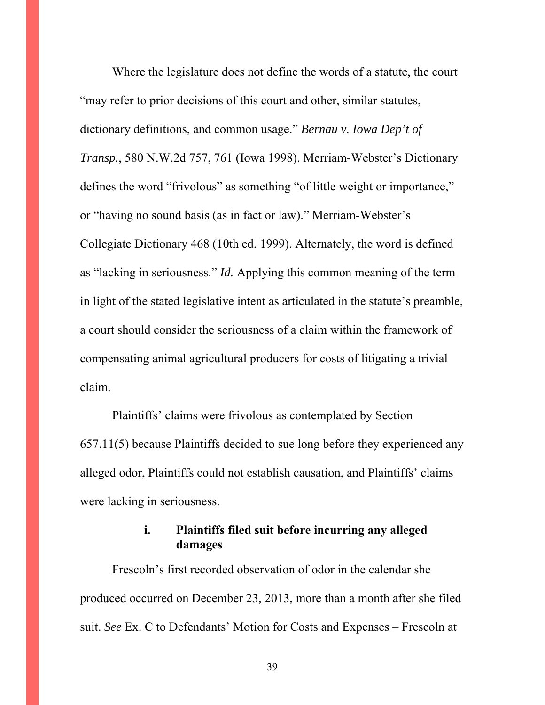Where the legislature does not define the words of a statute, the court "may refer to prior decisions of this court and other, similar statutes, dictionary definitions, and common usage." *Bernau v. Iowa Dep't of Transp.*, 580 N.W.2d 757, 761 (Iowa 1998). Merriam-Webster's Dictionary defines the word "frivolous" as something "of little weight or importance," or "having no sound basis (as in fact or law)." Merriam-Webster's Collegiate Dictionary 468 (10th ed. 1999). Alternately, the word is defined as "lacking in seriousness." *Id.* Applying this common meaning of the term in light of the stated legislative intent as articulated in the statute's preamble, a court should consider the seriousness of a claim within the framework of compensating animal agricultural producers for costs of litigating a trivial claim.

Plaintiffs' claims were frivolous as contemplated by Section 657.11(5) because Plaintiffs decided to sue long before they experienced any alleged odor, Plaintiffs could not establish causation, and Plaintiffs' claims were lacking in seriousness.

## **i. Plaintiffs filed suit before incurring any alleged damages**

Frescoln's first recorded observation of odor in the calendar she produced occurred on December 23, 2013, more than a month after she filed suit. *See* Ex. C to Defendants' Motion for Costs and Expenses – Frescoln at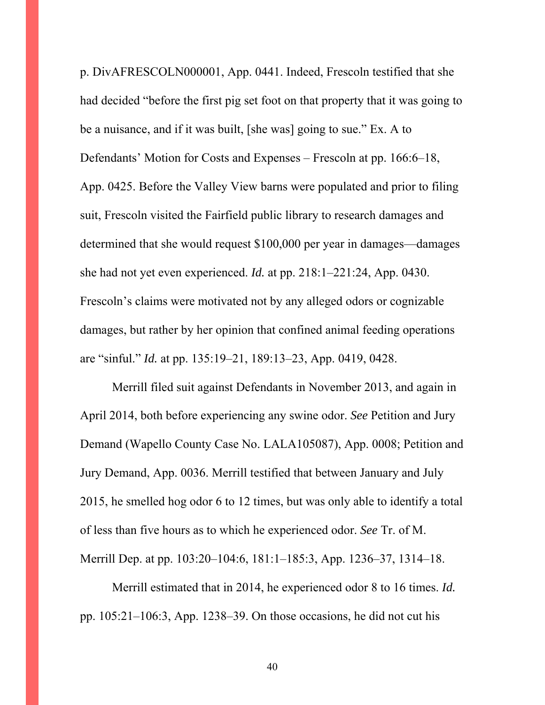p. DivAFRESCOLN000001, App. 0441. Indeed, Frescoln testified that she had decided "before the first pig set foot on that property that it was going to be a nuisance, and if it was built, [she was] going to sue." Ex. A to Defendants' Motion for Costs and Expenses – Frescoln at pp. 166:6–18, App. 0425. Before the Valley View barns were populated and prior to filing suit, Frescoln visited the Fairfield public library to research damages and determined that she would request \$100,000 per year in damages—damages she had not yet even experienced. *Id.* at pp. 218:1–221:24, App. 0430. Frescoln's claims were motivated not by any alleged odors or cognizable damages, but rather by her opinion that confined animal feeding operations are "sinful." *Id.* at pp. 135:19–21, 189:13–23, App. 0419, 0428.

Merrill filed suit against Defendants in November 2013, and again in April 2014, both before experiencing any swine odor. *See* Petition and Jury Demand (Wapello County Case No. LALA105087), App. 0008; Petition and Jury Demand, App. 0036. Merrill testified that between January and July 2015, he smelled hog odor 6 to 12 times, but was only able to identify a total of less than five hours as to which he experienced odor. *See* Tr. of M. Merrill Dep. at pp. 103:20–104:6, 181:1–185:3, App. 1236–37, 1314–18.

Merrill estimated that in 2014, he experienced odor 8 to 16 times. *Id.* pp. 105:21–106:3, App. 1238–39. On those occasions, he did not cut his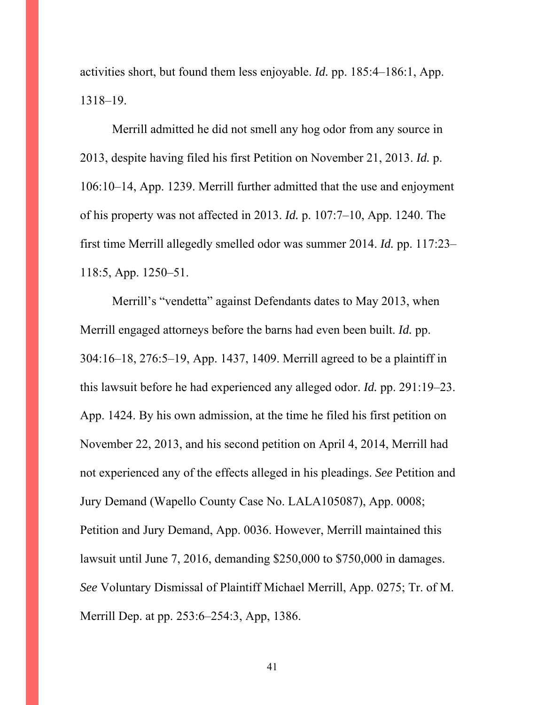activities short, but found them less enjoyable. *Id.* pp. 185:4–186:1, App. 1318–19.

Merrill admitted he did not smell any hog odor from any source in 2013, despite having filed his first Petition on November 21, 2013. *Id.* p. 106:10–14, App. 1239. Merrill further admitted that the use and enjoyment of his property was not affected in 2013. *Id.* p. 107:7–10, App. 1240. The first time Merrill allegedly smelled odor was summer 2014. *Id.* pp. 117:23– 118:5, App. 1250–51.

Merrill's "vendetta" against Defendants dates to May 2013, when Merrill engaged attorneys before the barns had even been built. *Id.* pp. 304:16–18, 276:5–19, App. 1437, 1409. Merrill agreed to be a plaintiff in this lawsuit before he had experienced any alleged odor. *Id.* pp. 291:19–23. App. 1424. By his own admission, at the time he filed his first petition on November 22, 2013, and his second petition on April 4, 2014, Merrill had not experienced any of the effects alleged in his pleadings. *See* Petition and Jury Demand (Wapello County Case No. LALA105087), App. 0008; Petition and Jury Demand, App. 0036. However, Merrill maintained this lawsuit until June 7, 2016, demanding \$250,000 to \$750,000 in damages. *See* Voluntary Dismissal of Plaintiff Michael Merrill, App. 0275; Tr. of M. Merrill Dep. at pp. 253:6–254:3, App, 1386.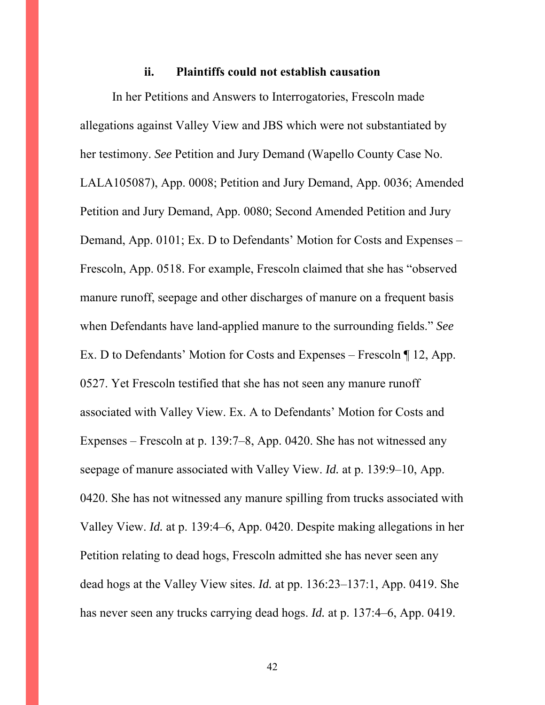#### **ii. Plaintiffs could not establish causation**

In her Petitions and Answers to Interrogatories, Frescoln made allegations against Valley View and JBS which were not substantiated by her testimony. *See* Petition and Jury Demand (Wapello County Case No. LALA105087), App. 0008; Petition and Jury Demand, App. 0036; Amended Petition and Jury Demand, App. 0080; Second Amended Petition and Jury Demand, App. 0101; Ex. D to Defendants' Motion for Costs and Expenses – Frescoln, App. 0518. For example, Frescoln claimed that she has "observed manure runoff, seepage and other discharges of manure on a frequent basis when Defendants have land-applied manure to the surrounding fields." *See* Ex. D to Defendants' Motion for Costs and Expenses – Frescoln ¶ 12, App. 0527. Yet Frescoln testified that she has not seen any manure runoff associated with Valley View. Ex. A to Defendants' Motion for Costs and Expenses – Frescoln at p. 139:7–8, App. 0420. She has not witnessed any seepage of manure associated with Valley View. *Id.* at p. 139:9–10, App. 0420. She has not witnessed any manure spilling from trucks associated with Valley View. *Id.* at p. 139:4–6, App. 0420. Despite making allegations in her Petition relating to dead hogs, Frescoln admitted she has never seen any dead hogs at the Valley View sites. *Id.* at pp. 136:23–137:1, App. 0419. She has never seen any trucks carrying dead hogs. *Id.* at p. 137:4–6, App. 0419.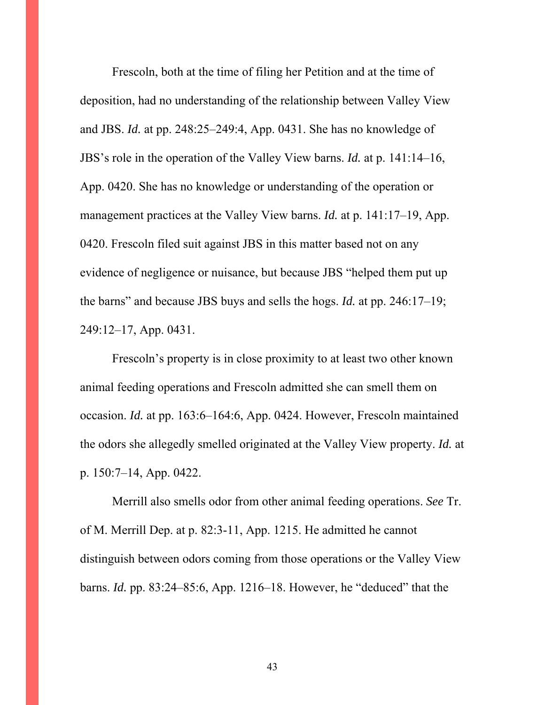Frescoln, both at the time of filing her Petition and at the time of deposition, had no understanding of the relationship between Valley View and JBS. *Id.* at pp. 248:25–249:4, App. 0431. She has no knowledge of JBS's role in the operation of the Valley View barns. *Id.* at p. 141:14–16, App. 0420. She has no knowledge or understanding of the operation or management practices at the Valley View barns. *Id.* at p. 141:17–19, App. 0420. Frescoln filed suit against JBS in this matter based not on any evidence of negligence or nuisance, but because JBS "helped them put up the barns" and because JBS buys and sells the hogs. *Id.* at pp. 246:17–19; 249:12–17, App. 0431.

Frescoln's property is in close proximity to at least two other known animal feeding operations and Frescoln admitted she can smell them on occasion. *Id.* at pp. 163:6–164:6, App. 0424. However, Frescoln maintained the odors she allegedly smelled originated at the Valley View property. *Id.* at p. 150:7–14, App. 0422.

Merrill also smells odor from other animal feeding operations. *See* Tr. of M. Merrill Dep. at p. 82:3-11, App. 1215. He admitted he cannot distinguish between odors coming from those operations or the Valley View barns. *Id.* pp. 83:24–85:6, App. 1216–18. However, he "deduced" that the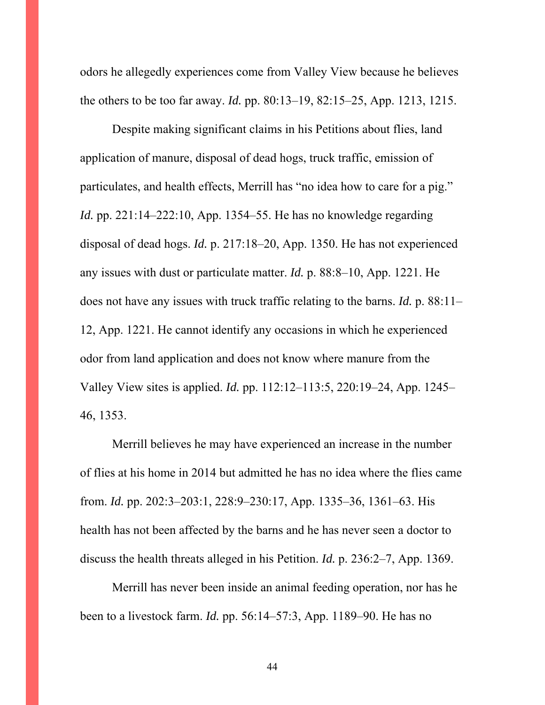odors he allegedly experiences come from Valley View because he believes the others to be too far away. *Id.* pp. 80:13–19, 82:15–25, App. 1213, 1215.

Despite making significant claims in his Petitions about flies, land application of manure, disposal of dead hogs, truck traffic, emission of particulates, and health effects, Merrill has "no idea how to care for a pig." *Id.* pp. 221:14–222:10, App. 1354–55. He has no knowledge regarding disposal of dead hogs. *Id.* p. 217:18–20, App. 1350. He has not experienced any issues with dust or particulate matter. *Id.* p. 88:8–10, App. 1221. He does not have any issues with truck traffic relating to the barns. *Id.* p. 88:11– 12, App. 1221. He cannot identify any occasions in which he experienced odor from land application and does not know where manure from the Valley View sites is applied. *Id.* pp. 112:12–113:5, 220:19–24, App. 1245– 46, 1353.

Merrill believes he may have experienced an increase in the number of flies at his home in 2014 but admitted he has no idea where the flies came from. *Id.* pp. 202:3–203:1, 228:9–230:17, App. 1335–36, 1361–63. His health has not been affected by the barns and he has never seen a doctor to discuss the health threats alleged in his Petition. *Id.* p. 236:2–7, App. 1369.

Merrill has never been inside an animal feeding operation, nor has he been to a livestock farm. *Id.* pp. 56:14–57:3, App. 1189–90. He has no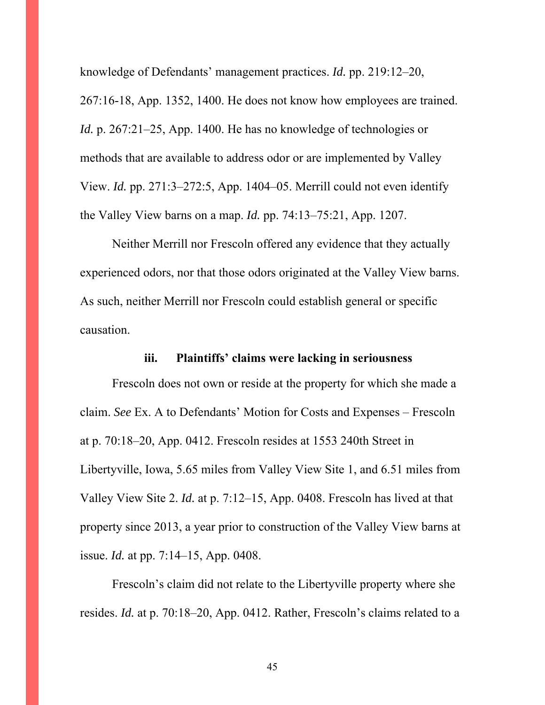knowledge of Defendants' management practices. *Id.* pp. 219:12–20,

267:16-18, App. 1352, 1400. He does not know how employees are trained. *Id.* p. 267:21–25, App. 1400. He has no knowledge of technologies or methods that are available to address odor or are implemented by Valley View. *Id.* pp. 271:3–272:5, App. 1404–05. Merrill could not even identify the Valley View barns on a map. *Id.* pp. 74:13–75:21, App. 1207.

Neither Merrill nor Frescoln offered any evidence that they actually experienced odors, nor that those odors originated at the Valley View barns. As such, neither Merrill nor Frescoln could establish general or specific causation.

#### **iii. Plaintiffs' claims were lacking in seriousness**

Frescoln does not own or reside at the property for which she made a claim. *See* Ex. A to Defendants' Motion for Costs and Expenses – Frescoln at p. 70:18–20, App. 0412. Frescoln resides at 1553 240th Street in Libertyville, Iowa, 5.65 miles from Valley View Site 1, and 6.51 miles from Valley View Site 2. *Id.* at p. 7:12–15, App. 0408. Frescoln has lived at that property since 2013, a year prior to construction of the Valley View barns at issue. *Id.* at pp. 7:14–15, App. 0408.

Frescoln's claim did not relate to the Libertyville property where she resides. *Id.* at p. 70:18–20, App. 0412. Rather, Frescoln's claims related to a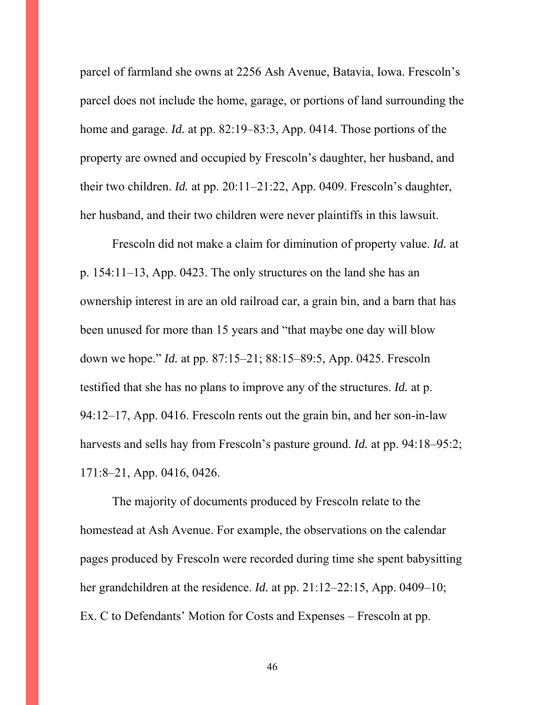parcel of farmland she owns at 2256 Ash Avenue, Batavia, Iowa. Frescoln's parcel does not include the home, garage, or portions of land surrounding the home and garage. *Id.* at pp. 82:19–83:3, App. 0414. Those portions of the property are owned and occupied by Frescoln's daughter, her husband, and their two children. *Id.* at pp. 20:11–21:22, App. 0409. Frescoln's daughter, her husband, and their two children were never plaintiffs in this lawsuit.

Frescoln did not make a claim for diminution of property value. *Id.* at p. 154:11–13, App. 0423. The only structures on the land she has an ownership interest in are an old railroad car, a grain bin, and a barn that has been unused for more than 15 years and "that maybe one day will blow down we hope." *Id.* at pp. 87:15–21; 88:15–89:5, App. 0425. Frescoln testified that she has no plans to improve any of the structures. *Id.* at p. 94:12–17, App. 0416. Frescoln rents out the grain bin, and her son-in-law harvests and sells hay from Frescoln's pasture ground. *Id.* at pp. 94:18–95:2; 171:8–21, App. 0416, 0426.

The majority of documents produced by Frescoln relate to the homestead at Ash Avenue. For example, the observations on the calendar pages produced by Frescoln were recorded during time she spent babysitting her grandchildren at the residence. *Id.* at pp. 21:12–22:15, App. 0409–10; Ex. C to Defendants' Motion for Costs and Expenses – Frescoln at pp.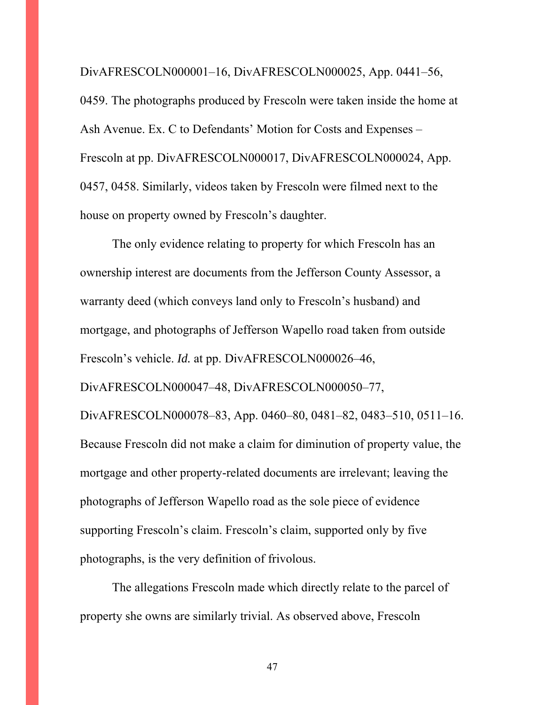DivAFRESCOLN000001–16, DivAFRESCOLN000025, App. 0441–56, 0459. The photographs produced by Frescoln were taken inside the home at Ash Avenue. Ex. C to Defendants' Motion for Costs and Expenses – Frescoln at pp. DivAFRESCOLN000017, DivAFRESCOLN000024, App. 0457, 0458. Similarly, videos taken by Frescoln were filmed next to the house on property owned by Frescoln's daughter.

The only evidence relating to property for which Frescoln has an ownership interest are documents from the Jefferson County Assessor, a warranty deed (which conveys land only to Frescoln's husband) and mortgage, and photographs of Jefferson Wapello road taken from outside Frescoln's vehicle. *Id.* at pp. DivAFRESCOLN000026–46, DivAFRESCOLN000047–48, DivAFRESCOLN000050–77, DivAFRESCOLN000078–83, App. 0460–80, 0481–82, 0483–510, 0511–16. Because Frescoln did not make a claim for diminution of property value, the mortgage and other property-related documents are irrelevant; leaving the photographs of Jefferson Wapello road as the sole piece of evidence supporting Frescoln's claim. Frescoln's claim, supported only by five photographs, is the very definition of frivolous.

The allegations Frescoln made which directly relate to the parcel of property she owns are similarly trivial. As observed above, Frescoln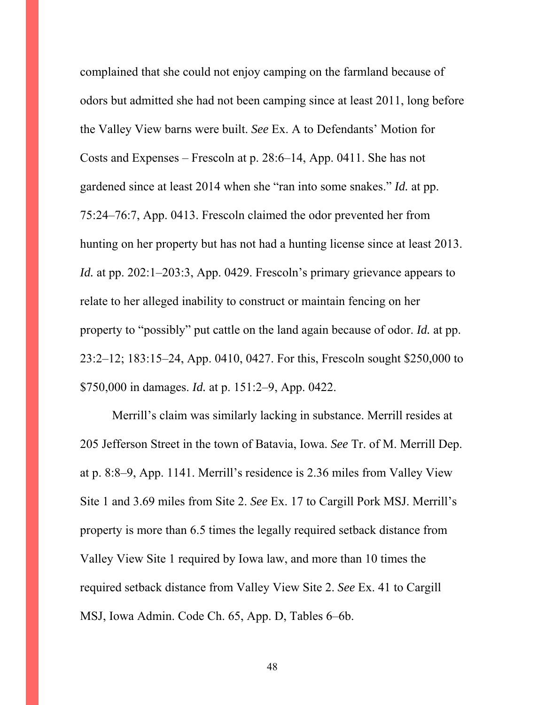complained that she could not enjoy camping on the farmland because of odors but admitted she had not been camping since at least 2011, long before the Valley View barns were built. *See* Ex. A to Defendants' Motion for Costs and Expenses – Frescoln at p. 28:6–14, App. 0411. She has not gardened since at least 2014 when she "ran into some snakes." *Id.* at pp. 75:24–76:7, App. 0413. Frescoln claimed the odor prevented her from hunting on her property but has not had a hunting license since at least 2013. *Id.* at pp. 202:1–203:3, App. 0429. Frescoln's primary grievance appears to relate to her alleged inability to construct or maintain fencing on her property to "possibly" put cattle on the land again because of odor. *Id.* at pp. 23:2–12; 183:15–24, App. 0410, 0427. For this, Frescoln sought \$250,000 to \$750,000 in damages. *Id.* at p. 151:2–9, App. 0422.

Merrill's claim was similarly lacking in substance. Merrill resides at 205 Jefferson Street in the town of Batavia, Iowa. *See* Tr. of M. Merrill Dep. at p. 8:8–9, App. 1141. Merrill's residence is 2.36 miles from Valley View Site 1 and 3.69 miles from Site 2. *See* Ex. 17 to Cargill Pork MSJ. Merrill's property is more than 6.5 times the legally required setback distance from Valley View Site 1 required by Iowa law, and more than 10 times the required setback distance from Valley View Site 2. *See* Ex. 41 to Cargill MSJ, Iowa Admin. Code Ch. 65, App. D, Tables 6–6b.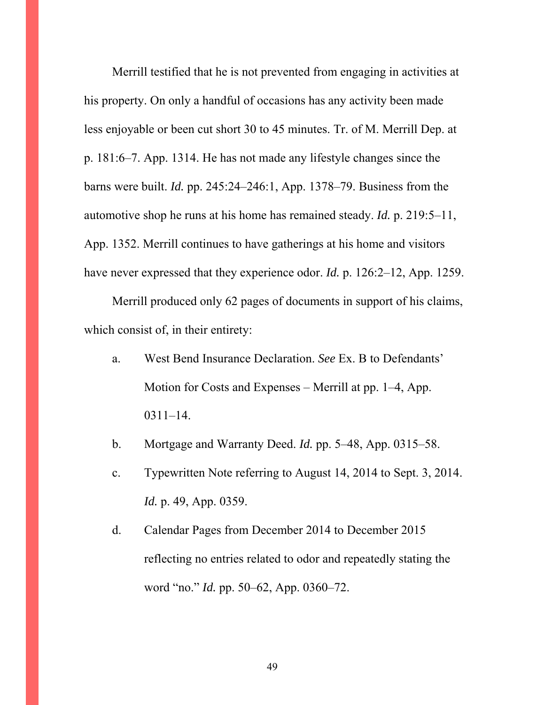Merrill testified that he is not prevented from engaging in activities at his property. On only a handful of occasions has any activity been made less enjoyable or been cut short 30 to 45 minutes. Tr. of M. Merrill Dep. at p. 181:6–7. App. 1314. He has not made any lifestyle changes since the barns were built. *Id.* pp. 245:24–246:1, App. 1378–79. Business from the automotive shop he runs at his home has remained steady. *Id.* p. 219:5–11, App. 1352. Merrill continues to have gatherings at his home and visitors have never expressed that they experience odor. *Id.* p. 126:2–12, App. 1259.

Merrill produced only 62 pages of documents in support of his claims, which consist of, in their entirety:

- a. West Bend Insurance Declaration. *See* Ex. B to Defendants' Motion for Costs and Expenses – Merrill at pp. 1–4, App. 0311–14.
- b. Mortgage and Warranty Deed. *Id.* pp. 5–48, App. 0315–58.
- c. Typewritten Note referring to August 14, 2014 to Sept. 3, 2014. *Id.* p. 49, App. 0359.
- d. Calendar Pages from December 2014 to December 2015 reflecting no entries related to odor and repeatedly stating the word "no." *Id.* pp. 50–62, App. 0360–72.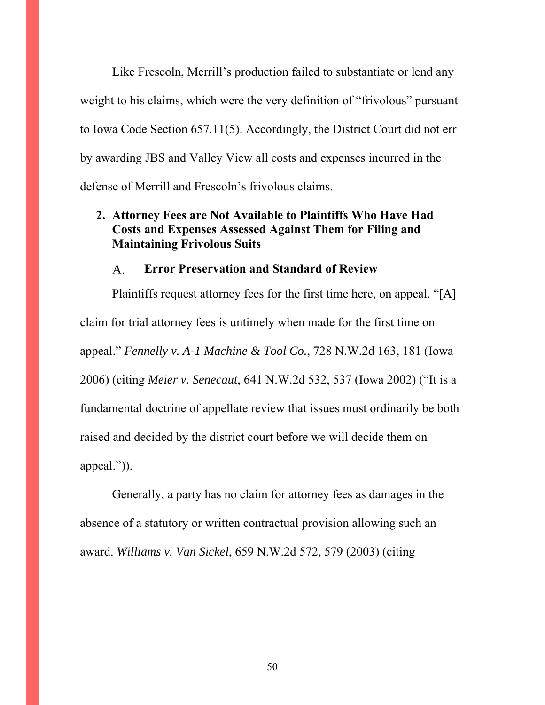Like Frescoln, Merrill's production failed to substantiate or lend any weight to his claims, which were the very definition of "frivolous" pursuant to Iowa Code Section 657.11(5). Accordingly, the District Court did not err by awarding JBS and Valley View all costs and expenses incurred in the defense of Merrill and Frescoln's frivolous claims.

## **2. Attorney Fees are Not Available to Plaintiffs Who Have Had Costs and Expenses Assessed Against Them for Filing and Maintaining Frivolous Suits**

#### **Error Preservation and Standard of Review**  A.

Plaintiffs request attorney fees for the first time here, on appeal. "[A] claim for trial attorney fees is untimely when made for the first time on appeal." *Fennelly v. A-1 Machine & Tool Co.*, 728 N.W.2d 163, 181 (Iowa 2006) (citing *Meier v. Senecaut*, 641 N.W.2d 532, 537 (Iowa 2002) ("It is a fundamental doctrine of appellate review that issues must ordinarily be both raised and decided by the district court before we will decide them on appeal.")).

Generally, a party has no claim for attorney fees as damages in the absence of a statutory or written contractual provision allowing such an award. *Williams v. Van Sickel*, 659 N.W.2d 572, 579 (2003) (citing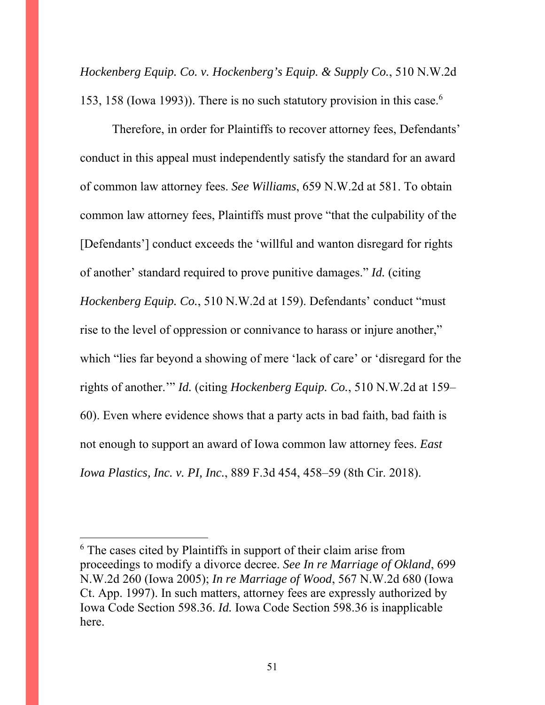*Hockenberg Equip. Co. v. Hockenberg's Equip. & Supply Co.*, 510 N.W.2d 153, 158 (Iowa 1993)). There is no such statutory provision in this case.<sup>6</sup>

Therefore, in order for Plaintiffs to recover attorney fees, Defendants' conduct in this appeal must independently satisfy the standard for an award of common law attorney fees. *See Williams*, 659 N.W.2d at 581. To obtain common law attorney fees, Plaintiffs must prove "that the culpability of the [Defendants'] conduct exceeds the 'willful and wanton disregard for rights of another' standard required to prove punitive damages." *Id.* (citing *Hockenberg Equip. Co.*, 510 N.W.2d at 159). Defendants' conduct "must rise to the level of oppression or connivance to harass or injure another," which "lies far beyond a showing of mere 'lack of care' or 'disregard for the rights of another.'" *Id.* (citing *Hockenberg Equip. Co.*, 510 N.W.2d at 159– 60). Even where evidence shows that a party acts in bad faith, bad faith is not enough to support an award of Iowa common law attorney fees. *East Iowa Plastics, Inc. v. PI, Inc.*, 889 F.3d 454, 458–59 (8th Cir. 2018).

 $\overline{a}$ 

<sup>&</sup>lt;sup>6</sup> The cases cited by Plaintiffs in support of their claim arise from proceedings to modify a divorce decree. *See In re Marriage of Okland*, 699 N.W.2d 260 (Iowa 2005); *In re Marriage of Wood*, 567 N.W.2d 680 (Iowa Ct. App. 1997). In such matters, attorney fees are expressly authorized by Iowa Code Section 598.36. *Id.* Iowa Code Section 598.36 is inapplicable here.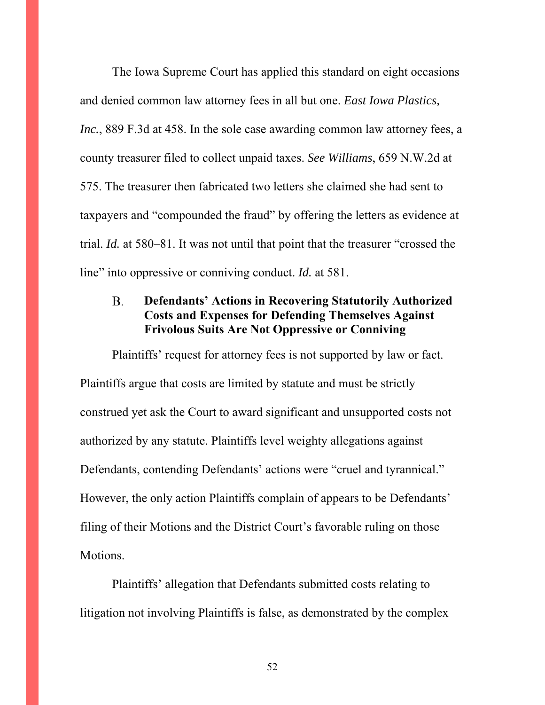The Iowa Supreme Court has applied this standard on eight occasions and denied common law attorney fees in all but one. *East Iowa Plastics, Inc.*, 889 F.3d at 458. In the sole case awarding common law attorney fees, a county treasurer filed to collect unpaid taxes. *See Williams*, 659 N.W.2d at 575. The treasurer then fabricated two letters she claimed she had sent to taxpayers and "compounded the fraud" by offering the letters as evidence at trial. *Id.* at 580–81. It was not until that point that the treasurer "crossed the line" into oppressive or conniving conduct. *Id.* at 581.

#### **B. Defendants' Actions in Recovering Statutorily Authorized Costs and Expenses for Defending Themselves Against Frivolous Suits Are Not Oppressive or Conniving**

Plaintiffs' request for attorney fees is not supported by law or fact. Plaintiffs argue that costs are limited by statute and must be strictly construed yet ask the Court to award significant and unsupported costs not authorized by any statute. Plaintiffs level weighty allegations against Defendants, contending Defendants' actions were "cruel and tyrannical." However, the only action Plaintiffs complain of appears to be Defendants' filing of their Motions and the District Court's favorable ruling on those Motions.

Plaintiffs' allegation that Defendants submitted costs relating to litigation not involving Plaintiffs is false, as demonstrated by the complex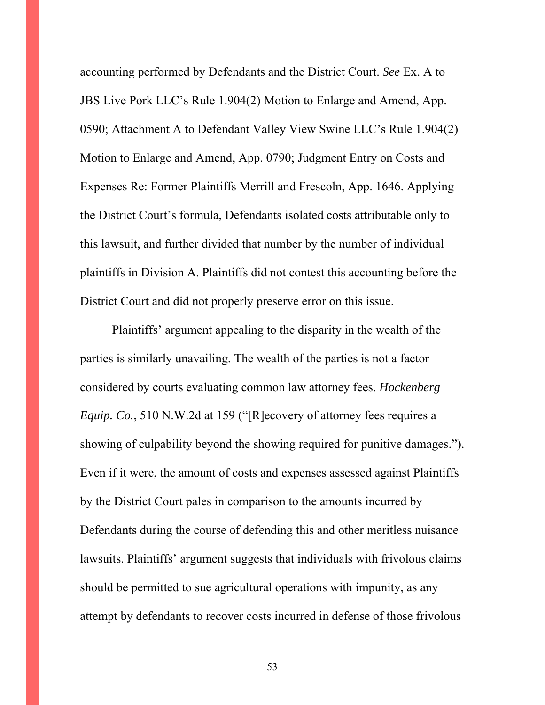accounting performed by Defendants and the District Court. *See* Ex. A to JBS Live Pork LLC's Rule 1.904(2) Motion to Enlarge and Amend, App. 0590; Attachment A to Defendant Valley View Swine LLC's Rule 1.904(2) Motion to Enlarge and Amend, App. 0790; Judgment Entry on Costs and Expenses Re: Former Plaintiffs Merrill and Frescoln, App. 1646. Applying the District Court's formula, Defendants isolated costs attributable only to this lawsuit, and further divided that number by the number of individual plaintiffs in Division A. Plaintiffs did not contest this accounting before the District Court and did not properly preserve error on this issue.

Plaintiffs' argument appealing to the disparity in the wealth of the parties is similarly unavailing. The wealth of the parties is not a factor considered by courts evaluating common law attorney fees. *Hockenberg Equip. Co.*, 510 N.W.2d at 159 ("[R]ecovery of attorney fees requires a showing of culpability beyond the showing required for punitive damages."). Even if it were, the amount of costs and expenses assessed against Plaintiffs by the District Court pales in comparison to the amounts incurred by Defendants during the course of defending this and other meritless nuisance lawsuits. Plaintiffs' argument suggests that individuals with frivolous claims should be permitted to sue agricultural operations with impunity, as any attempt by defendants to recover costs incurred in defense of those frivolous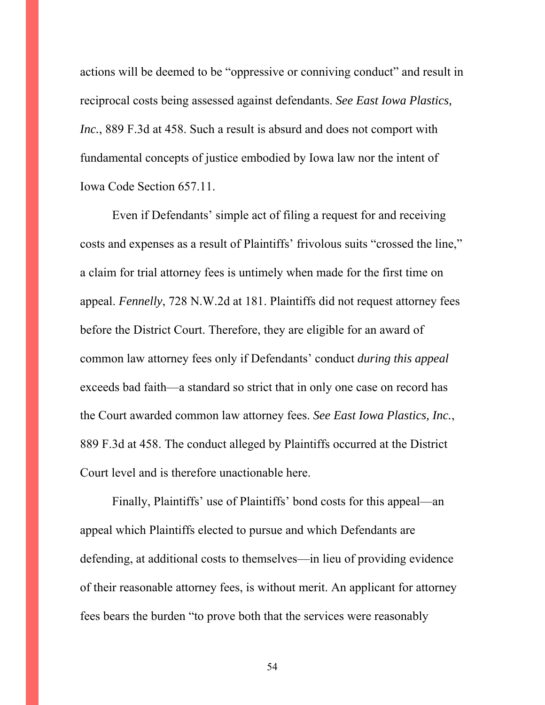actions will be deemed to be "oppressive or conniving conduct" and result in reciprocal costs being assessed against defendants. *See East Iowa Plastics, Inc.*, 889 F.3d at 458. Such a result is absurd and does not comport with fundamental concepts of justice embodied by Iowa law nor the intent of Iowa Code Section 657.11.

Even if Defendants' simple act of filing a request for and receiving costs and expenses as a result of Plaintiffs' frivolous suits "crossed the line," a claim for trial attorney fees is untimely when made for the first time on appeal. *Fennelly*, 728 N.W.2d at 181. Plaintiffs did not request attorney fees before the District Court. Therefore, they are eligible for an award of common law attorney fees only if Defendants' conduct *during this appeal* exceeds bad faith—a standard so strict that in only one case on record has the Court awarded common law attorney fees. *See East Iowa Plastics, Inc.*, 889 F.3d at 458. The conduct alleged by Plaintiffs occurred at the District Court level and is therefore unactionable here.

 Finally, Plaintiffs' use of Plaintiffs' bond costs for this appeal—an appeal which Plaintiffs elected to pursue and which Defendants are defending, at additional costs to themselves—in lieu of providing evidence of their reasonable attorney fees, is without merit. An applicant for attorney fees bears the burden "to prove both that the services were reasonably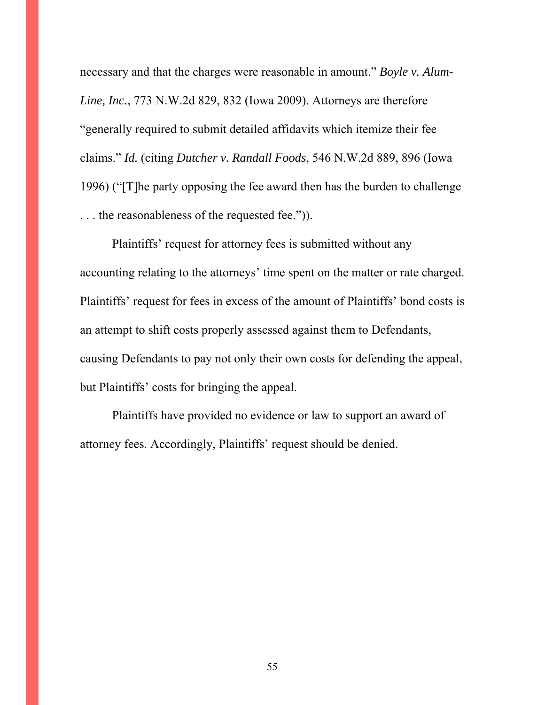necessary and that the charges were reasonable in amount." *Boyle v. Alum-Line, Inc.*, 773 N.W.2d 829, 832 (Iowa 2009). Attorneys are therefore "generally required to submit detailed affidavits which itemize their fee claims." *Id.* (citing *Dutcher v. Randall Foods*, 546 N.W.2d 889, 896 (Iowa 1996) ("[T]he party opposing the fee award then has the burden to challenge . . . the reasonableness of the requested fee.")).

Plaintiffs' request for attorney fees is submitted without any accounting relating to the attorneys' time spent on the matter or rate charged. Plaintiffs' request for fees in excess of the amount of Plaintiffs' bond costs is an attempt to shift costs properly assessed against them to Defendants, causing Defendants to pay not only their own costs for defending the appeal, but Plaintiffs' costs for bringing the appeal.

Plaintiffs have provided no evidence or law to support an award of attorney fees. Accordingly, Plaintiffs' request should be denied.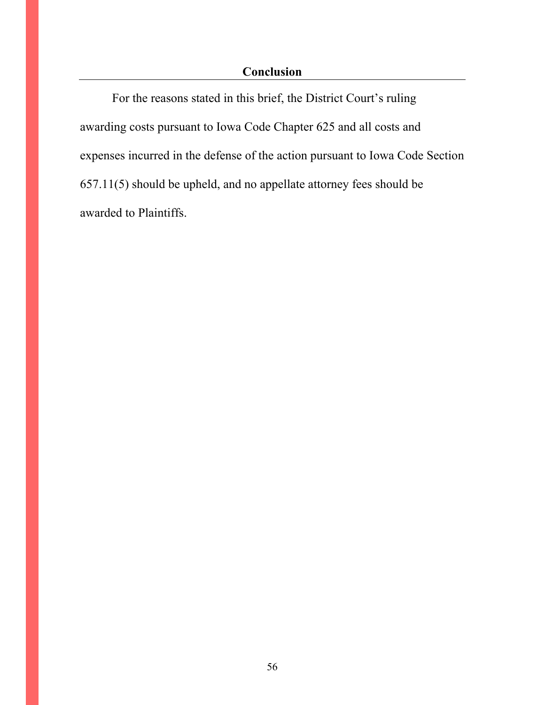## **Conclusion**

For the reasons stated in this brief, the District Court's ruling awarding costs pursuant to Iowa Code Chapter 625 and all costs and expenses incurred in the defense of the action pursuant to Iowa Code Section 657.11(5) should be upheld, and no appellate attorney fees should be awarded to Plaintiffs.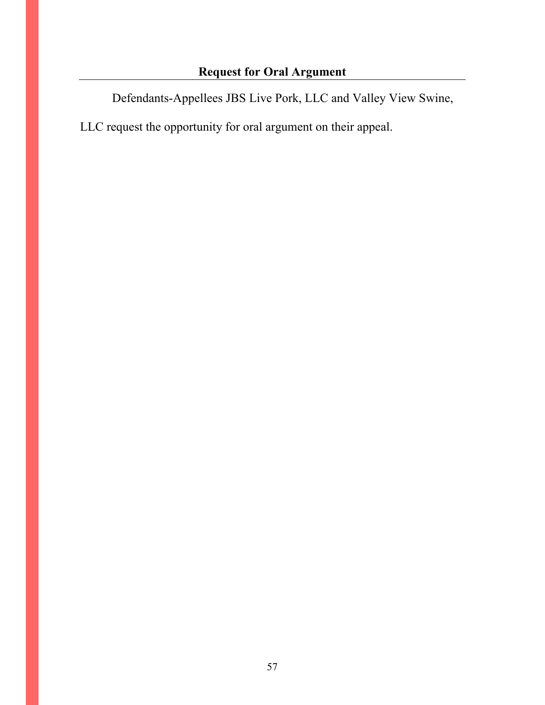Defendants-Appellees JBS Live Pork, LLC and Valley View Swine,

LLC request the opportunity for oral argument on their appeal.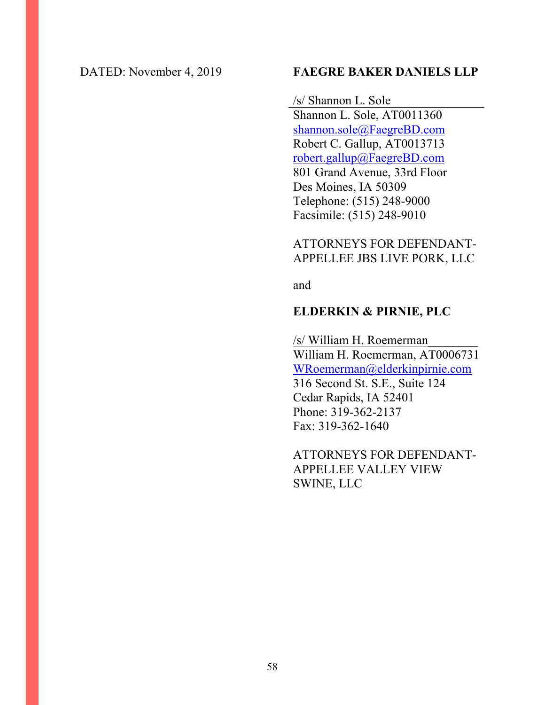#### DATED: November 4, 2019 **FAEGRE BAKER DANIELS LLP**

/s/ Shannon L. Sole Shannon L. Sole, AT0011360 shannon.sole@FaegreBD.com Robert C. Gallup, AT0013713 robert.gallup@FaegreBD.com 801 Grand Avenue, 33rd Floor Des Moines, IA 50309 Telephone: (515) 248-9000 Facsimile: (515) 248-9010

## ATTORNEYS FOR DEFENDANT-APPELLEE JBS LIVE PORK, LLC

and

## **ELDERKIN & PIRNIE, PLC**

/s/ William H. Roemerman\_\_\_\_\_\_\_\_ William H. Roemerman, AT0006731 WRoemerman@elderkinpirnie.com 316 Second St. S.E., Suite 124 Cedar Rapids, IA 52401 Phone: 319-362-2137 Fax: 319-362-1640

ATTORNEYS FOR DEFENDANT-APPELLEE VALLEY VIEW SWINE, LLC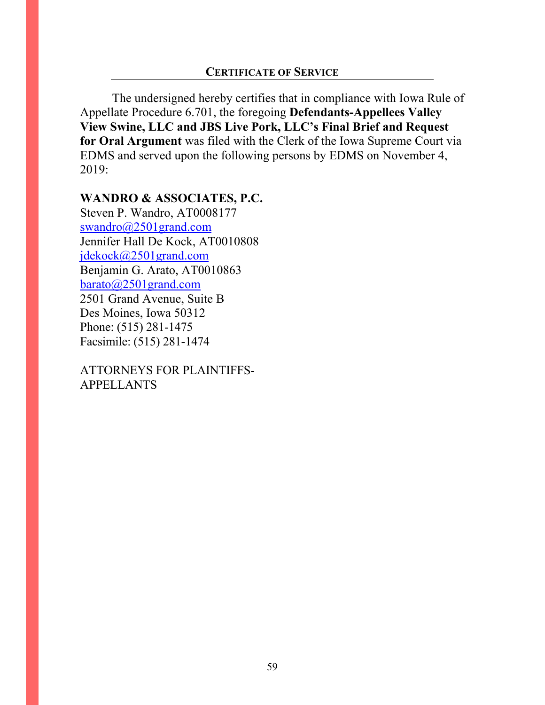The undersigned hereby certifies that in compliance with Iowa Rule of Appellate Procedure 6.701, the foregoing **Defendants-Appellees Valley View Swine, LLC and JBS Live Pork, LLC's Final Brief and Request for Oral Argument** was filed with the Clerk of the Iowa Supreme Court via EDMS and served upon the following persons by EDMS on November 4, 2019:

#### **WANDRO & ASSOCIATES, P.C.**

Steven P. Wandro, AT0008177 swandro@2501grand.com Jennifer Hall De Kock, AT0010808 jdekock@2501grand.com Benjamin G. Arato, AT0010863 barato@2501grand.com 2501 Grand Avenue, Suite B Des Moines, Iowa 50312 Phone: (515) 281-1475 Facsimile: (515) 281-1474

ATTORNEYS FOR PLAINTIFFS-APPELLANTS